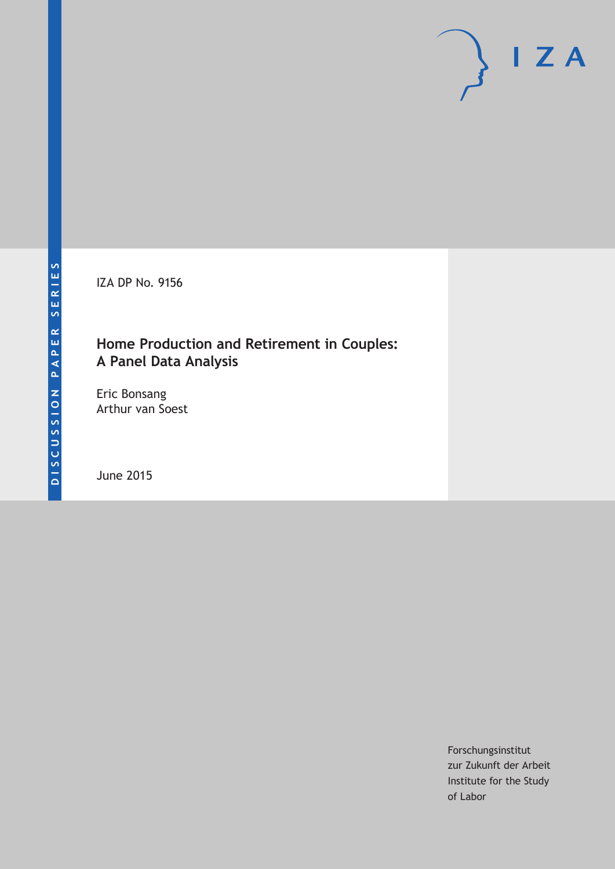IZA DP No. 9156

# **Home Production and Retirement in Couples: A Panel Data Analysis**

Eric Bonsang Arthur van Soest

June 2015

Forschungsinstitut zur Zukunft der Arbeit Institute for the Study of Labor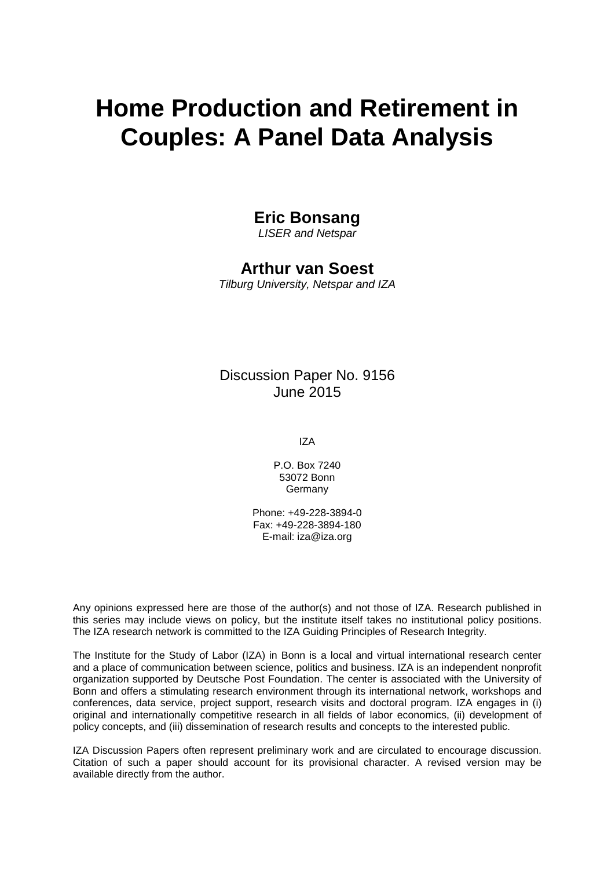# **Home Production and Retirement in Couples: A Panel Data Analysis**

# **Eric Bonsang**

*LISER and Netspar*

# **Arthur van Soest**

*Tilburg University, Netspar and IZA*

# Discussion Paper No. 9156 June 2015

IZA

P.O. Box 7240 53072 Bonn Germany

Phone: +49-228-3894-0 Fax: +49-228-3894-180 E-mail: iza@iza.org

Any opinions expressed here are those of the author(s) and not those of IZA. Research published in this series may include views on policy, but the institute itself takes no institutional policy positions. The IZA research network is committed to the IZA Guiding Principles of Research Integrity.

The Institute for the Study of Labor (IZA) in Bonn is a local and virtual international research center and a place of communication between science, politics and business. IZA is an independent nonprofit organization supported by Deutsche Post Foundation. The center is associated with the University of Bonn and offers a stimulating research environment through its international network, workshops and conferences, data service, project support, research visits and doctoral program. IZA engages in (i) original and internationally competitive research in all fields of labor economics, (ii) development of policy concepts, and (iii) dissemination of research results and concepts to the interested public.

<span id="page-1-0"></span>IZA Discussion Papers often represent preliminary work and are circulated to encourage discussion. Citation of such a paper should account for its provisional character. A revised version may be available directly from the author.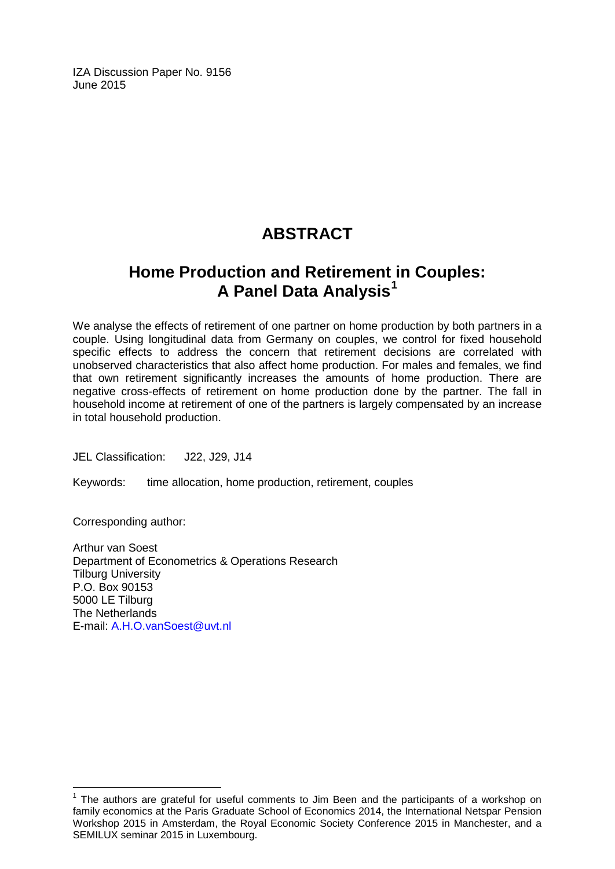IZA Discussion Paper No. 9156 June 2015

# **ABSTRACT**

# **Home Production and Retirement in Couples: A Panel Data Analysis[1](#page-1-0)**

We analyse the effects of retirement of one partner on home production by both partners in a couple. Using longitudinal data from Germany on couples, we control for fixed household specific effects to address the concern that retirement decisions are correlated with unobserved characteristics that also affect home production. For males and females, we find that own retirement significantly increases the amounts of home production. There are negative cross-effects of retirement on home production done by the partner. The fall in household income at retirement of one of the partners is largely compensated by an increase in total household production.

JEL Classification: J22, J29, J14

Keywords: time allocation, home production, retirement, couples

Corresponding author:

Arthur van Soest Department of Econometrics & Operations Research Tilburg University P.O. Box 90153 5000 LE Tilburg The Netherlands E-mail: [A.H.O.vanSoest@uvt.nl](mailto:A.H.O.vanSoest@uvt.nl)

 $1$  The authors are grateful for useful comments to Jim Been and the participants of a workshop on family economics at the Paris Graduate School of Economics 2014, the International Netspar Pension Workshop 2015 in Amsterdam, the Royal Economic Society Conference 2015 in Manchester, and a SEMILUX seminar 2015 in Luxembourg.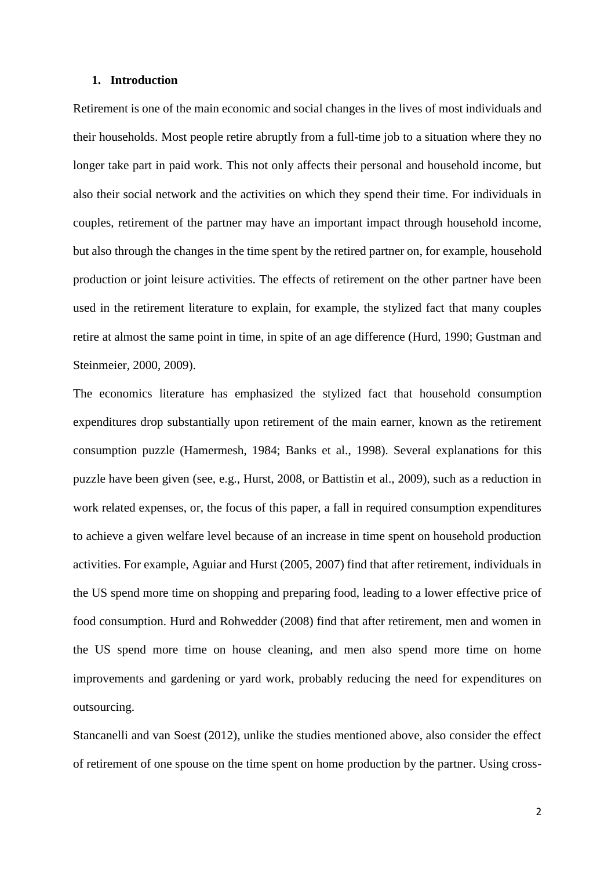#### **1. Introduction**

Retirement is one of the main economic and social changes in the lives of most individuals and their households. Most people retire abruptly from a full-time job to a situation where they no longer take part in paid work. This not only affects their personal and household income, but also their social network and the activities on which they spend their time. For individuals in couples, retirement of the partner may have an important impact through household income, but also through the changes in the time spent by the retired partner on, for example, household production or joint leisure activities. The effects of retirement on the other partner have been used in the retirement literature to explain, for example, the stylized fact that many couples retire at almost the same point in time, in spite of an age difference (Hurd, 1990; Gustman and Steinmeier, 2000, 2009).

The economics literature has emphasized the stylized fact that household consumption expenditures drop substantially upon retirement of the main earner, known as the retirement consumption puzzle (Hamermesh, 1984; Banks et al., 1998). Several explanations for this puzzle have been given (see, e.g., Hurst, 2008, or Battistin et al., 2009), such as a reduction in work related expenses, or, the focus of this paper, a fall in required consumption expenditures to achieve a given welfare level because of an increase in time spent on household production activities. For example, Aguiar and Hurst (2005, 2007) find that after retirement, individuals in the US spend more time on shopping and preparing food, leading to a lower effective price of food consumption. Hurd and Rohwedder (2008) find that after retirement, men and women in the US spend more time on house cleaning, and men also spend more time on home improvements and gardening or yard work, probably reducing the need for expenditures on outsourcing.

Stancanelli and van Soest (2012), unlike the studies mentioned above, also consider the effect of retirement of one spouse on the time spent on home production by the partner. Using cross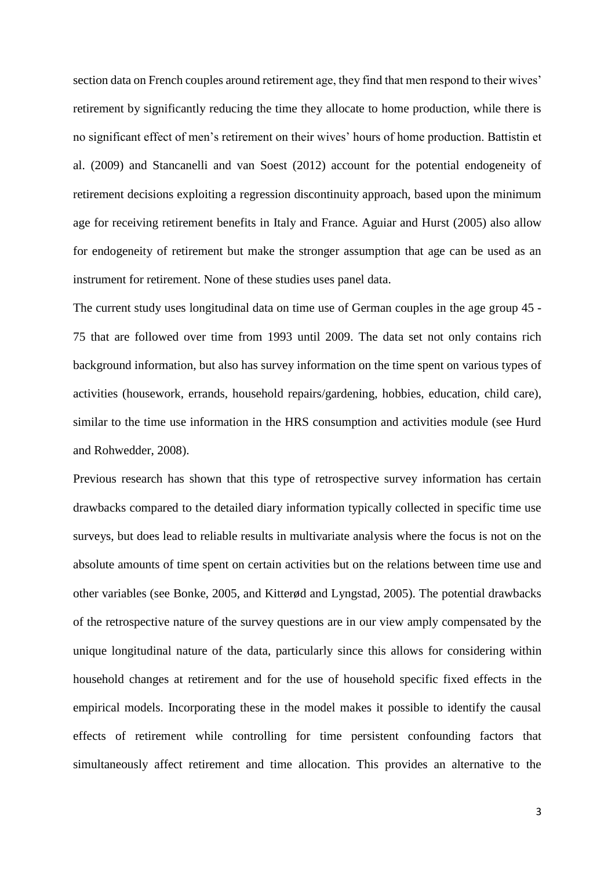section data on French couples around retirement age, they find that men respond to their wives' retirement by significantly reducing the time they allocate to home production, while there is no significant effect of men's retirement on their wives' hours of home production. Battistin et al. (2009) and Stancanelli and van Soest (2012) account for the potential endogeneity of retirement decisions exploiting a regression discontinuity approach, based upon the minimum age for receiving retirement benefits in Italy and France. Aguiar and Hurst (2005) also allow for endogeneity of retirement but make the stronger assumption that age can be used as an instrument for retirement. None of these studies uses panel data.

The current study uses longitudinal data on time use of German couples in the age group 45 - 75 that are followed over time from 1993 until 2009. The data set not only contains rich background information, but also has survey information on the time spent on various types of activities (housework, errands, household repairs/gardening, hobbies, education, child care), similar to the time use information in the HRS consumption and activities module (see Hurd and Rohwedder, 2008).

Previous research has shown that this type of retrospective survey information has certain drawbacks compared to the detailed diary information typically collected in specific time use surveys, but does lead to reliable results in multivariate analysis where the focus is not on the absolute amounts of time spent on certain activities but on the relations between time use and other variables (see Bonke, 2005, and Kitterød and Lyngstad, 2005). The potential drawbacks of the retrospective nature of the survey questions are in our view amply compensated by the unique longitudinal nature of the data, particularly since this allows for considering within household changes at retirement and for the use of household specific fixed effects in the empirical models. Incorporating these in the model makes it possible to identify the causal effects of retirement while controlling for time persistent confounding factors that simultaneously affect retirement and time allocation. This provides an alternative to the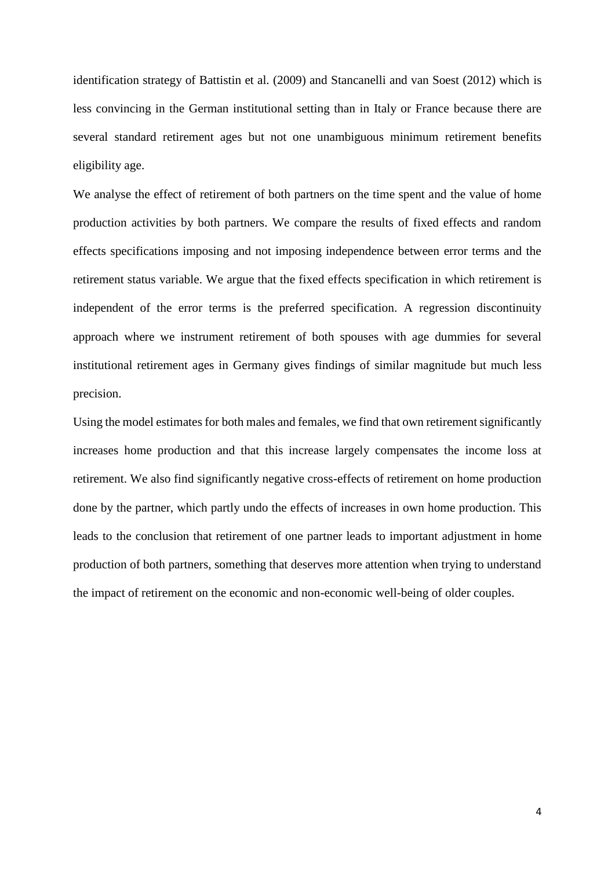identification strategy of Battistin et al. (2009) and Stancanelli and van Soest (2012) which is less convincing in the German institutional setting than in Italy or France because there are several standard retirement ages but not one unambiguous minimum retirement benefits eligibility age.

We analyse the effect of retirement of both partners on the time spent and the value of home production activities by both partners. We compare the results of fixed effects and random effects specifications imposing and not imposing independence between error terms and the retirement status variable. We argue that the fixed effects specification in which retirement is independent of the error terms is the preferred specification. A regression discontinuity approach where we instrument retirement of both spouses with age dummies for several institutional retirement ages in Germany gives findings of similar magnitude but much less precision.

Using the model estimates for both males and females, we find that own retirement significantly increases home production and that this increase largely compensates the income loss at retirement. We also find significantly negative cross-effects of retirement on home production done by the partner, which partly undo the effects of increases in own home production. This leads to the conclusion that retirement of one partner leads to important adjustment in home production of both partners, something that deserves more attention when trying to understand the impact of retirement on the economic and non-economic well-being of older couples.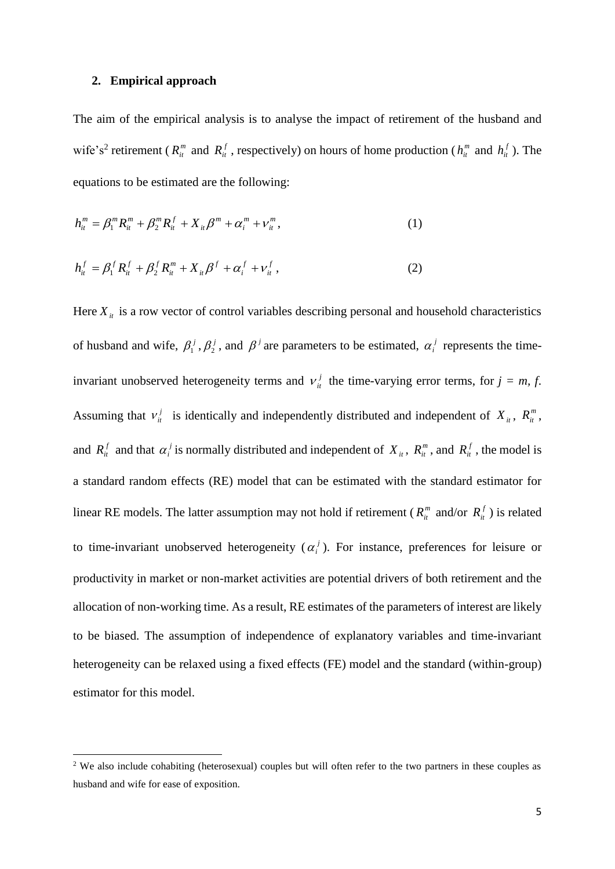#### **2. Empirical approach**

1

The aim of the empirical analysis is to analyse the impact of retirement of the husband and wife's<sup>2</sup> retirement ( $R_{it}^{m}$  and  $R_{it}^{f}$ , respectively) on hours of home production ( $h_{it}^{m}$  and  $h_{it}^{f}$ ). The equations to be estimated are the following:

$$
h_{it}^{m} = \beta_1^{m} R_{it}^{m} + \beta_2^{m} R_{it}^{f} + X_{it} \beta^{m} + \alpha_i^{m} + \nu_{it}^{m}, \qquad (1)
$$

$$
h_{it}^f = \beta_1^f R_{it}^f + \beta_2^f R_{it}^m + X_{it} \beta^f + \alpha_i^f + V_{it}^f,
$$
 (2)

Here  $X_{it}$  is a row vector of control variables describing personal and household characteristics of husband and wife,  $\beta_1^j$ ,  $\beta_2^j$ , and  $\beta^j$  are parameters to be estimated,  $\alpha_i^j$  represents the timeinvariant unobserved heterogeneity terms and  $v_i^j$  the time-varying error terms, for  $j = m, f$ . Assuming that  $v_i^j$  is identically and independently distributed and independent of  $X_i$ ,  $R_i^m$ , and  $R_i^f$  and that  $\alpha_i^j$  is normally distributed and independent of  $X_i$ ,  $R_i^m$ , and  $R_i^f$ , the model is a standard random effects (RE) model that can be estimated with the standard estimator for linear RE models. The latter assumption may not hold if retirement ( $R_{it}^{m}$  and/or  $R_{it}^{f}$ ) is related to time-invariant unobserved heterogeneity  $(\alpha_i^j)$ . For instance, preferences for leisure or productivity in market or non-market activities are potential drivers of both retirement and the allocation of non-working time. As a result, RE estimates of the parameters of interest are likely to be biased. The assumption of independence of explanatory variables and time-invariant heterogeneity can be relaxed using a fixed effects (FE) model and the standard (within-group) estimator for this model.

<sup>&</sup>lt;sup>2</sup> We also include cohabiting (heterosexual) couples but will often refer to the two partners in these couples as husband and wife for ease of exposition.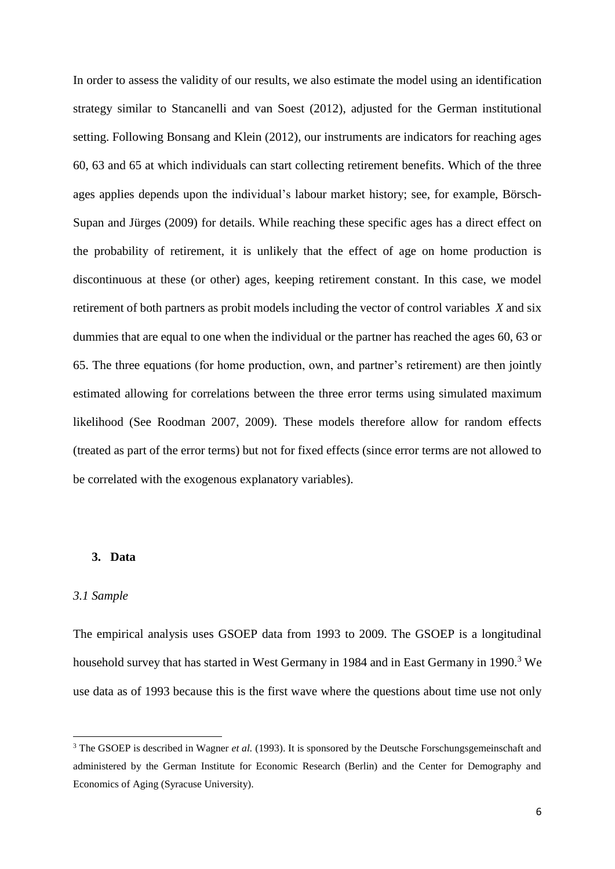In order to assess the validity of our results, we also estimate the model using an identification strategy similar to Stancanelli and van Soest (2012), adjusted for the German institutional setting. Following Bonsang and Klein (2012), our instruments are indicators for reaching ages 60, 63 and 65 at which individuals can start collecting retirement benefits. Which of the three ages applies depends upon the individual's labour market history; see, for example, Börsch-Supan and Jürges (2009) for details. While reaching these specific ages has a direct effect on the probability of retirement, it is unlikely that the effect of age on home production is discontinuous at these (or other) ages, keeping retirement constant. In this case, we model retirement of both partners as probit models including the vector of control variables *X* and six dummies that are equal to one when the individual or the partner has reached the ages 60, 63 or 65. The three equations (for home production, own, and partner's retirement) are then jointly estimated allowing for correlations between the three error terms using simulated maximum likelihood (See Roodman 2007, 2009). These models therefore allow for random effects (treated as part of the error terms) but not for fixed effects (since error terms are not allowed to be correlated with the exogenous explanatory variables).

#### **3. Data**

#### *3.1 Sample*

1

The empirical analysis uses GSOEP data from 1993 to 2009. The GSOEP is a longitudinal household survey that has started in West Germany in 1984 and in East Germany in 1990.<sup>3</sup> We use data as of 1993 because this is the first wave where the questions about time use not only

<sup>&</sup>lt;sup>3</sup> The GSOEP is described in Wagner *et al.* (1993). It is sponsored by the Deutsche Forschungsgemeinschaft and administered by the German Institute for Economic Research (Berlin) and the Center for Demography and Economics of Aging (Syracuse University).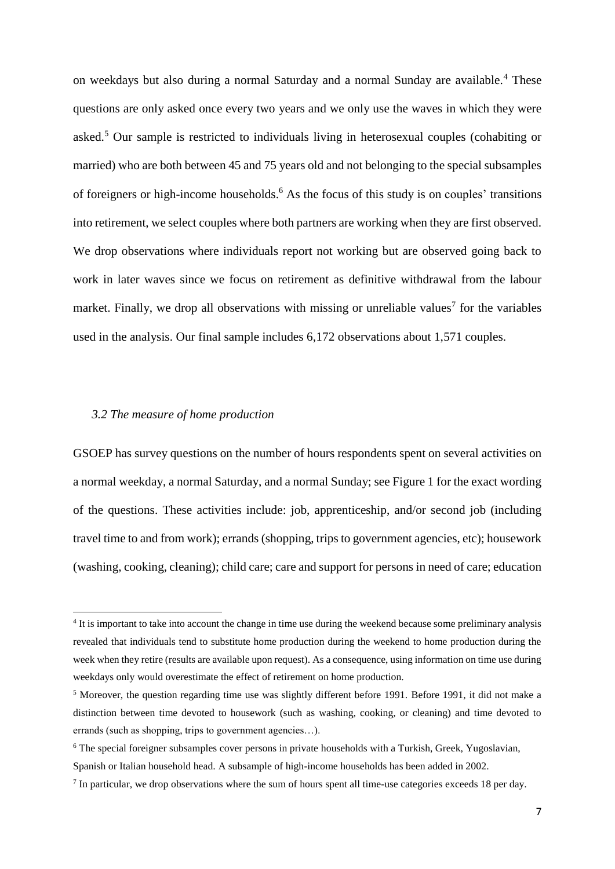on weekdays but also during a normal Saturday and a normal Sunday are available.<sup>4</sup> These questions are only asked once every two years and we only use the waves in which they were asked.<sup>5</sup> Our sample is restricted to individuals living in heterosexual couples (cohabiting or married) who are both between 45 and 75 years old and not belonging to the special subsamples of foreigners or high-income households. <sup>6</sup> As the focus of this study is on couples' transitions into retirement, we select couples where both partners are working when they are first observed. We drop observations where individuals report not working but are observed going back to work in later waves since we focus on retirement as definitive withdrawal from the labour market. Finally, we drop all observations with missing or unreliable values<sup>7</sup> for the variables used in the analysis. Our final sample includes 6,172 observations about 1,571 couples.

#### *3.2 The measure of home production*

1

GSOEP has survey questions on the number of hours respondents spent on several activities on a normal weekday, a normal Saturday, and a normal Sunday; see Figure 1 for the exact wording of the questions. These activities include: job, apprenticeship, and/or second job (including travel time to and from work); errands (shopping, trips to government agencies, etc); housework (washing, cooking, cleaning); child care; care and support for persons in need of care; education

<sup>&</sup>lt;sup>4</sup> It is important to take into account the change in time use during the weekend because some preliminary analysis revealed that individuals tend to substitute home production during the weekend to home production during the week when they retire (results are available upon request). As a consequence, using information on time use during weekdays only would overestimate the effect of retirement on home production.

<sup>5</sup> Moreover, the question regarding time use was slightly different before 1991. Before 1991, it did not make a distinction between time devoted to housework (such as washing, cooking, or cleaning) and time devoted to errands (such as shopping, trips to government agencies…).

<sup>&</sup>lt;sup>6</sup> The special foreigner subsamples cover persons in private households with a Turkish, Greek, Yugoslavian, Spanish or Italian household head. A subsample of high-income households has been added in 2002.

<sup>&</sup>lt;sup>7</sup> In particular, we drop observations where the sum of hours spent all time-use categories exceeds 18 per day.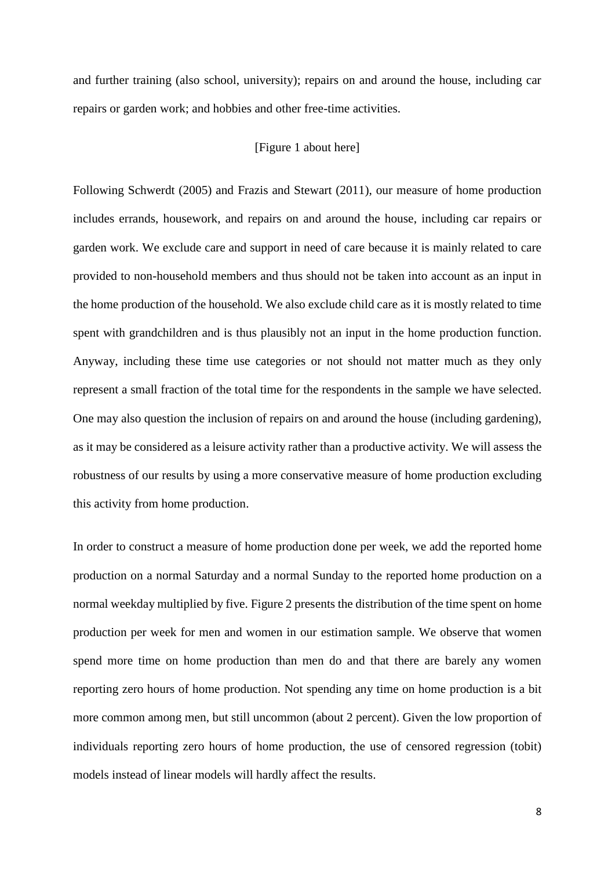and further training (also school, university); repairs on and around the house, including car repairs or garden work; and hobbies and other free-time activities.

#### [Figure 1 about here]

Following Schwerdt (2005) and Frazis and Stewart (2011), our measure of home production includes errands, housework, and repairs on and around the house, including car repairs or garden work. We exclude care and support in need of care because it is mainly related to care provided to non-household members and thus should not be taken into account as an input in the home production of the household. We also exclude child care as it is mostly related to time spent with grandchildren and is thus plausibly not an input in the home production function. Anyway, including these time use categories or not should not matter much as they only represent a small fraction of the total time for the respondents in the sample we have selected. One may also question the inclusion of repairs on and around the house (including gardening), as it may be considered as a leisure activity rather than a productive activity. We will assess the robustness of our results by using a more conservative measure of home production excluding this activity from home production.

In order to construct a measure of home production done per week, we add the reported home production on a normal Saturday and a normal Sunday to the reported home production on a normal weekday multiplied by five. Figure 2 presents the distribution of the time spent on home production per week for men and women in our estimation sample. We observe that women spend more time on home production than men do and that there are barely any women reporting zero hours of home production. Not spending any time on home production is a bit more common among men, but still uncommon (about 2 percent). Given the low proportion of individuals reporting zero hours of home production, the use of censored regression (tobit) models instead of linear models will hardly affect the results.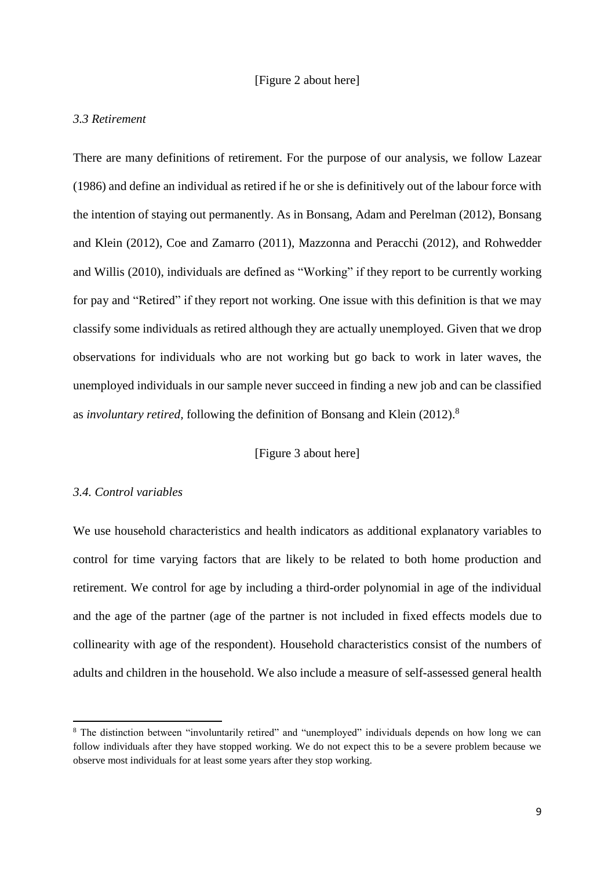#### [Figure 2 about here]

#### *3.3 Retirement*

There are many definitions of retirement. For the purpose of our analysis, we follow [Lazear](http://www.sciencedirect.com/science/article/pii/S0167629612000331#bib0170)  [\(1986\)](http://www.sciencedirect.com/science/article/pii/S0167629612000331#bib0170) and define an individual as retired if he or she is definitively out of the labour force with the intention of staying out permanently. As in Bonsang, Adam and Perelman (2012), Bonsang and Klein (2012), [Coe and Zamarro \(2011\),](http://www.sciencedirect.com/science/article/pii/S0167629612000331#bib0070) [Mazzonna and Peracchi \(2012\),](http://www.sciencedirect.com/science/article/pii/S0167629612000331#bib0200) and [Rohwedder](http://www.sciencedirect.com/science/article/pii/S0167629612000331#bib0240)  [and Willis \(2010\),](http://www.sciencedirect.com/science/article/pii/S0167629612000331#bib0240) individuals are defined as "Working" if they report to be currently working for pay and "Retired" if they report not working. One issue with this definition is that we may classify some individuals as retired although they are actually unemployed. Given that we drop observations for individuals who are not working but go back to work in later waves, the unemployed individuals in our sample never succeed in finding a new job and can be classified as *involuntary retired,* following the definition of Bonsang and Klein (2012). 8

#### [Figure 3 about here]

#### *3.4. Control variables*

**.** 

We use household characteristics and health indicators as additional explanatory variables to control for time varying factors that are likely to be related to both home production and retirement. We control for age by including a third-order polynomial in age of the individual and the age of the partner (age of the partner is not included in fixed effects models due to collinearity with age of the respondent). Household characteristics consist of the numbers of adults and children in the household. We also include a measure of self-assessed general health

<sup>8</sup> The distinction between "involuntarily retired" and "unemployed" individuals depends on how long we can follow individuals after they have stopped working. We do not expect this to be a severe problem because we observe most individuals for at least some years after they stop working.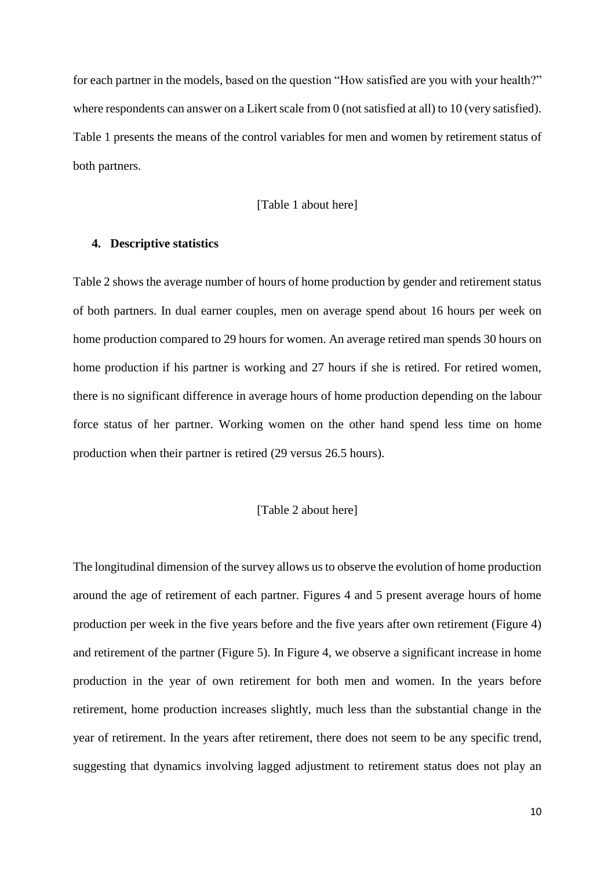for each partner in the models, based on the question "How satisfied are you with your health?" where respondents can answer on a Likert scale from 0 (not satisfied at all) to 10 (very satisfied). Table 1 presents the means of the control variables for men and women by retirement status of both partners.

#### [Table 1 about here]

#### **4. Descriptive statistics**

Table 2 shows the average number of hours of home production by gender and retirement status of both partners. In dual earner couples, men on average spend about 16 hours per week on home production compared to 29 hours for women. An average retired man spends 30 hours on home production if his partner is working and 27 hours if she is retired. For retired women, there is no significant difference in average hours of home production depending on the labour force status of her partner. Working women on the other hand spend less time on home production when their partner is retired (29 versus 26.5 hours).

#### [Table 2 about here]

The longitudinal dimension of the survey allows us to observe the evolution of home production around the age of retirement of each partner. Figures 4 and 5 present average hours of home production per week in the five years before and the five years after own retirement (Figure 4) and retirement of the partner (Figure 5). In Figure 4, we observe a significant increase in home production in the year of own retirement for both men and women. In the years before retirement, home production increases slightly, much less than the substantial change in the year of retirement. In the years after retirement, there does not seem to be any specific trend, suggesting that dynamics involving lagged adjustment to retirement status does not play an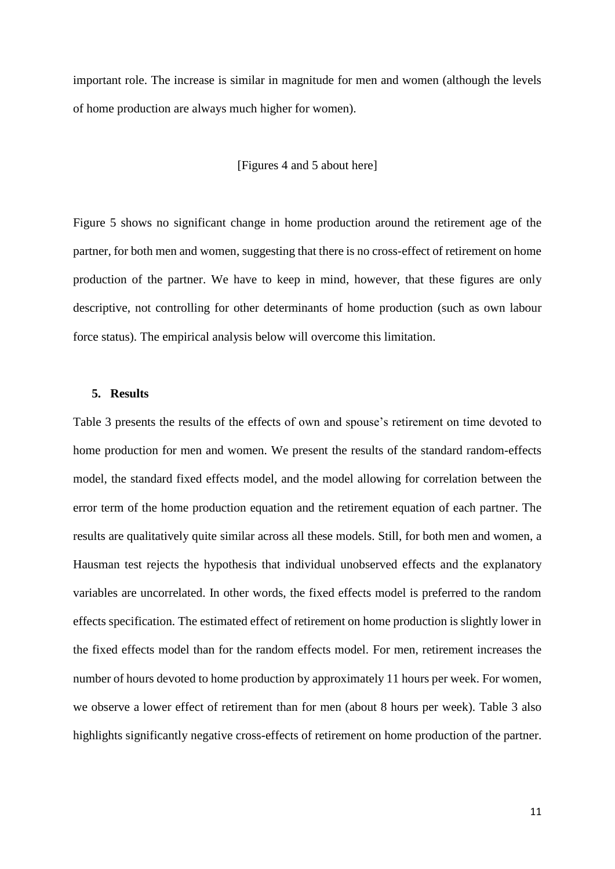important role. The increase is similar in magnitude for men and women (although the levels of home production are always much higher for women).

#### [Figures 4 and 5 about here]

Figure 5 shows no significant change in home production around the retirement age of the partner, for both men and women, suggesting that there is no cross-effect of retirement on home production of the partner. We have to keep in mind, however, that these figures are only descriptive, not controlling for other determinants of home production (such as own labour force status). The empirical analysis below will overcome this limitation.

#### **5. Results**

Table 3 presents the results of the effects of own and spouse's retirement on time devoted to home production for men and women. We present the results of the standard random-effects model, the standard fixed effects model, and the model allowing for correlation between the error term of the home production equation and the retirement equation of each partner. The results are qualitatively quite similar across all these models. Still, for both men and women, a Hausman test rejects the hypothesis that individual unobserved effects and the explanatory variables are uncorrelated. In other words, the fixed effects model is preferred to the random effects specification. The estimated effect of retirement on home production is slightly lower in the fixed effects model than for the random effects model. For men, retirement increases the number of hours devoted to home production by approximately 11 hours per week. For women, we observe a lower effect of retirement than for men (about 8 hours per week). Table 3 also highlights significantly negative cross-effects of retirement on home production of the partner.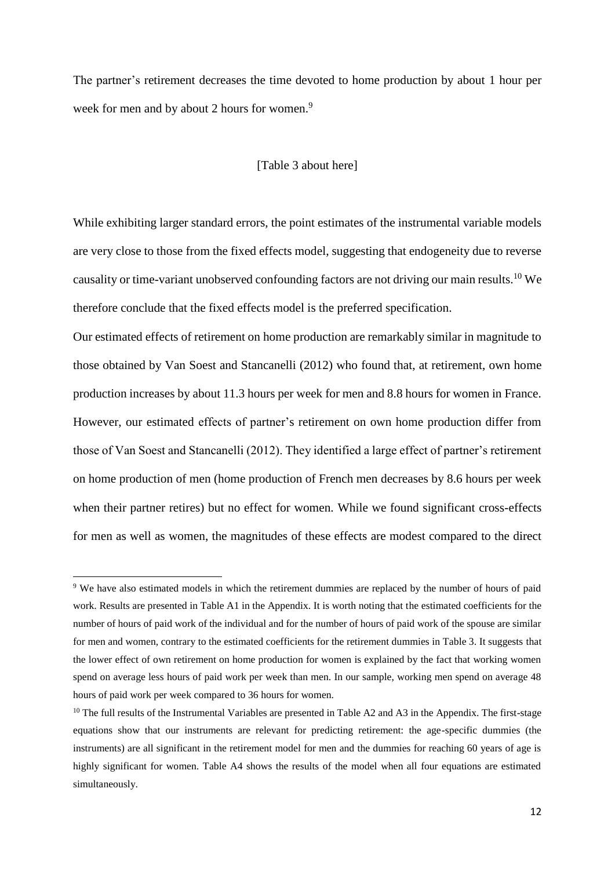The partner's retirement decreases the time devoted to home production by about 1 hour per week for men and by about 2 hours for women.<sup>9</sup>

#### [Table 3 about here]

While exhibiting larger standard errors, the point estimates of the instrumental variable models are very close to those from the fixed effects model, suggesting that endogeneity due to reverse causality or time-variant unobserved confounding factors are not driving our main results.<sup>10</sup> We therefore conclude that the fixed effects model is the preferred specification.

Our estimated effects of retirement on home production are remarkably similar in magnitude to those obtained by Van Soest and Stancanelli (2012) who found that, at retirement, own home production increases by about 11.3 hours per week for men and 8.8 hours for women in France. However, our estimated effects of partner's retirement on own home production differ from those of Van Soest and Stancanelli (2012). They identified a large effect of partner's retirement on home production of men (home production of French men decreases by 8.6 hours per week when their partner retires) but no effect for women. While we found significant cross-effects for men as well as women, the magnitudes of these effects are modest compared to the direct

1

<sup>&</sup>lt;sup>9</sup> We have also estimated models in which the retirement dummies are replaced by the number of hours of paid work. Results are presented in Table A1 in the Appendix. It is worth noting that the estimated coefficients for the number of hours of paid work of the individual and for the number of hours of paid work of the spouse are similar for men and women, contrary to the estimated coefficients for the retirement dummies in Table 3. It suggests that the lower effect of own retirement on home production for women is explained by the fact that working women spend on average less hours of paid work per week than men. In our sample, working men spend on average 48 hours of paid work per week compared to 36 hours for women.

 $10$  The full results of the Instrumental Variables are presented in Table A2 and A3 in the Appendix. The first-stage equations show that our instruments are relevant for predicting retirement: the age-specific dummies (the instruments) are all significant in the retirement model for men and the dummies for reaching 60 years of age is highly significant for women. Table A4 shows the results of the model when all four equations are estimated simultaneously.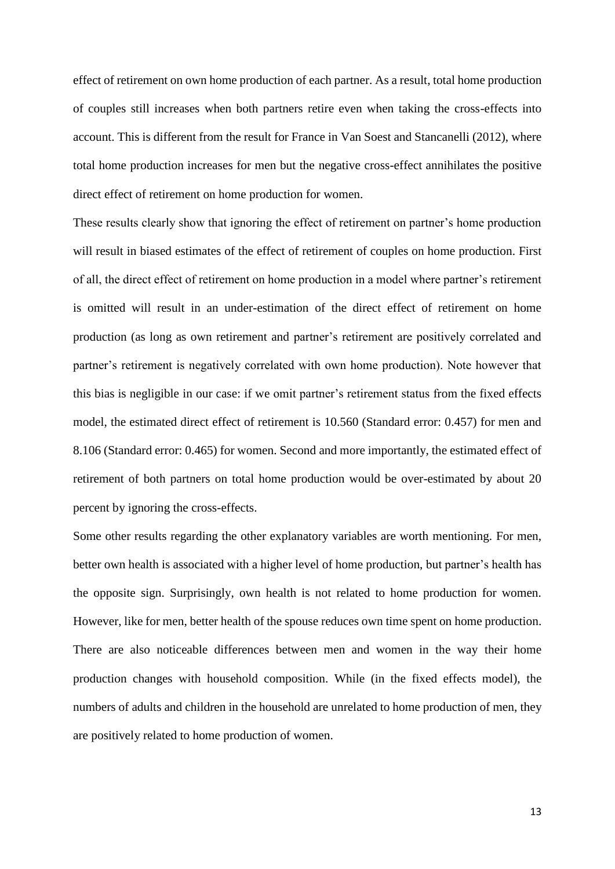effect of retirement on own home production of each partner. As a result, total home production of couples still increases when both partners retire even when taking the cross-effects into account. This is different from the result for France in Van Soest and Stancanelli (2012), where total home production increases for men but the negative cross-effect annihilates the positive direct effect of retirement on home production for women.

These results clearly show that ignoring the effect of retirement on partner's home production will result in biased estimates of the effect of retirement of couples on home production. First of all, the direct effect of retirement on home production in a model where partner's retirement is omitted will result in an under-estimation of the direct effect of retirement on home production (as long as own retirement and partner's retirement are positively correlated and partner's retirement is negatively correlated with own home production). Note however that this bias is negligible in our case: if we omit partner's retirement status from the fixed effects model, the estimated direct effect of retirement is 10.560 (Standard error: 0.457) for men and 8.106 (Standard error: 0.465) for women. Second and more importantly, the estimated effect of retirement of both partners on total home production would be over-estimated by about 20 percent by ignoring the cross-effects.

Some other results regarding the other explanatory variables are worth mentioning. For men, better own health is associated with a higher level of home production, but partner's health has the opposite sign. Surprisingly, own health is not related to home production for women. However, like for men, better health of the spouse reduces own time spent on home production. There are also noticeable differences between men and women in the way their home production changes with household composition. While (in the fixed effects model), the numbers of adults and children in the household are unrelated to home production of men, they are positively related to home production of women.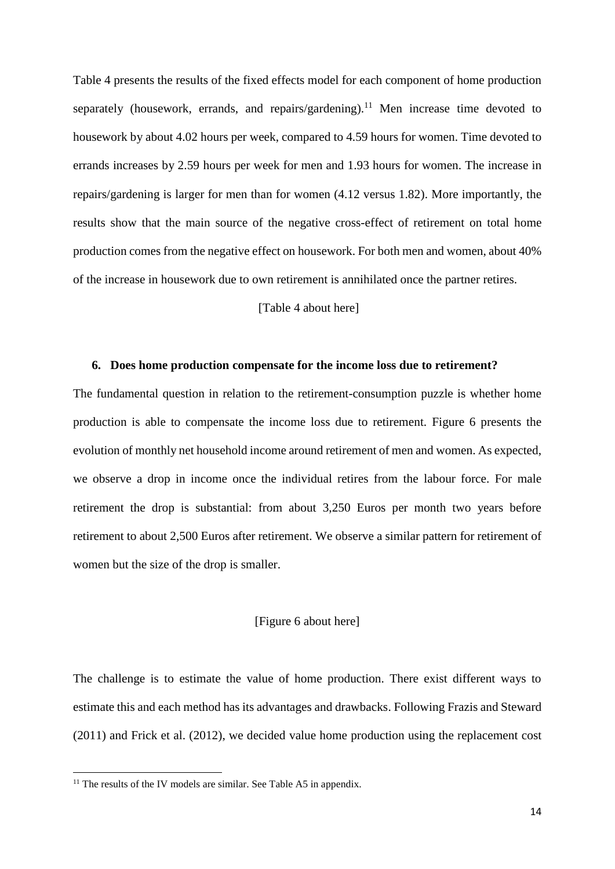Table 4 presents the results of the fixed effects model for each component of home production separately (housework, errands, and repairs/gardening).<sup>11</sup> Men increase time devoted to housework by about 4.02 hours per week, compared to 4.59 hours for women. Time devoted to errands increases by 2.59 hours per week for men and 1.93 hours for women. The increase in repairs/gardening is larger for men than for women (4.12 versus 1.82). More importantly, the results show that the main source of the negative cross-effect of retirement on total home production comes from the negative effect on housework. For both men and women, about 40% of the increase in housework due to own retirement is annihilated once the partner retires.

[Table 4 about here]

#### **6. Does home production compensate for the income loss due to retirement?**

The fundamental question in relation to the retirement-consumption puzzle is whether home production is able to compensate the income loss due to retirement. Figure 6 presents the evolution of monthly net household income around retirement of men and women. As expected, we observe a drop in income once the individual retires from the labour force. For male retirement the drop is substantial: from about 3,250 Euros per month two years before retirement to about 2,500 Euros after retirement. We observe a similar pattern for retirement of women but the size of the drop is smaller.

#### [Figure 6 about here]

The challenge is to estimate the value of home production. There exist different ways to estimate this and each method has its advantages and drawbacks. Following Frazis and Steward (2011) and Frick et al. (2012), we decided value home production using the replacement cost

 $\overline{a}$ 

 $11$  The results of the IV models are similar. See Table A5 in appendix.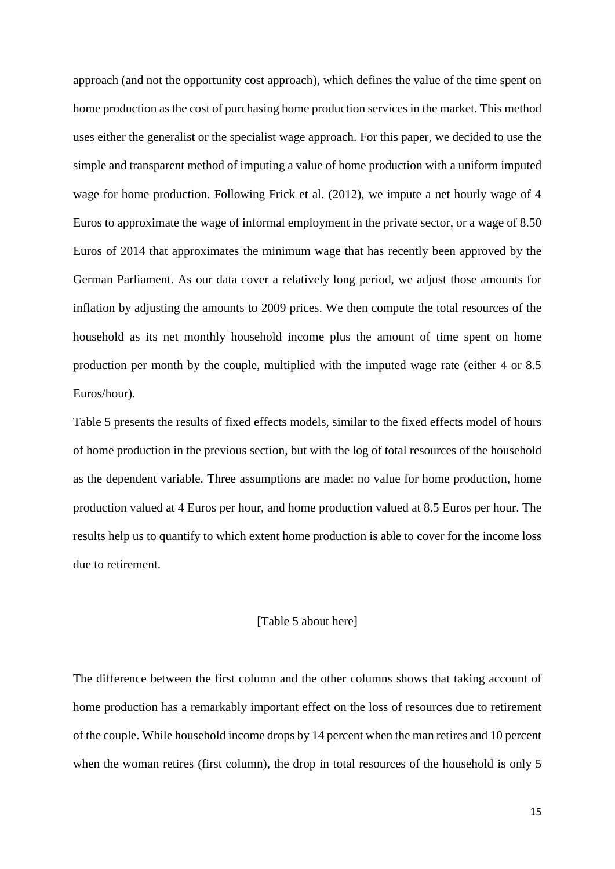approach (and not the opportunity cost approach), which defines the value of the time spent on home production as the cost of purchasing home production services in the market. This method uses either the generalist or the specialist wage approach. For this paper, we decided to use the simple and transparent method of imputing a value of home production with a uniform imputed wage for home production. Following Frick et al. (2012), we impute a net hourly wage of 4 Euros to approximate the wage of informal employment in the private sector, or a wage of 8.50 Euros of 2014 that approximates the minimum wage that has recently been approved by the German Parliament. As our data cover a relatively long period, we adjust those amounts for inflation by adjusting the amounts to 2009 prices. We then compute the total resources of the household as its net monthly household income plus the amount of time spent on home production per month by the couple, multiplied with the imputed wage rate (either 4 or 8.5 Euros/hour).

Table 5 presents the results of fixed effects models, similar to the fixed effects model of hours of home production in the previous section, but with the log of total resources of the household as the dependent variable. Three assumptions are made: no value for home production, home production valued at 4 Euros per hour, and home production valued at 8.5 Euros per hour. The results help us to quantify to which extent home production is able to cover for the income loss due to retirement.

#### [Table 5 about here]

The difference between the first column and the other columns shows that taking account of home production has a remarkably important effect on the loss of resources due to retirement of the couple. While household income drops by 14 percent when the man retires and 10 percent when the woman retires (first column), the drop in total resources of the household is only 5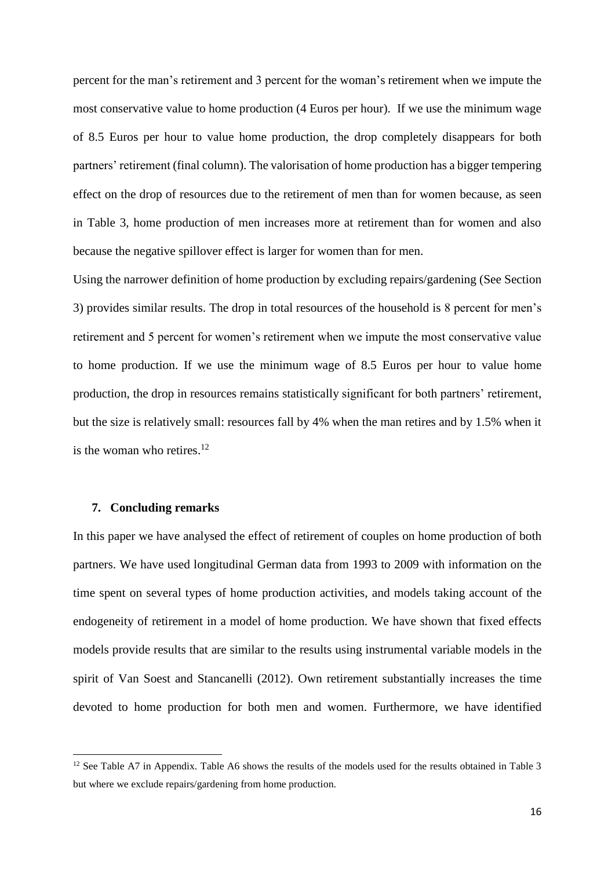percent for the man's retirement and 3 percent for the woman's retirement when we impute the most conservative value to home production (4 Euros per hour). If we use the minimum wage of 8.5 Euros per hour to value home production, the drop completely disappears for both partners' retirement (final column). The valorisation of home production has a bigger tempering effect on the drop of resources due to the retirement of men than for women because, as seen in Table 3, home production of men increases more at retirement than for women and also because the negative spillover effect is larger for women than for men.

Using the narrower definition of home production by excluding repairs/gardening (See Section 3) provides similar results. The drop in total resources of the household is 8 percent for men's retirement and 5 percent for women's retirement when we impute the most conservative value to home production. If we use the minimum wage of 8.5 Euros per hour to value home production, the drop in resources remains statistically significant for both partners' retirement, but the size is relatively small: resources fall by 4% when the man retires and by 1.5% when it is the woman who retires.<sup>12</sup>

#### **7. Concluding remarks**

1

In this paper we have analysed the effect of retirement of couples on home production of both partners. We have used longitudinal German data from 1993 to 2009 with information on the time spent on several types of home production activities, and models taking account of the endogeneity of retirement in a model of home production. We have shown that fixed effects models provide results that are similar to the results using instrumental variable models in the spirit of Van Soest and Stancanelli (2012). Own retirement substantially increases the time devoted to home production for both men and women. Furthermore, we have identified

<sup>&</sup>lt;sup>12</sup> See Table A7 in Appendix. Table A6 shows the results of the models used for the results obtained in Table 3 but where we exclude repairs/gardening from home production.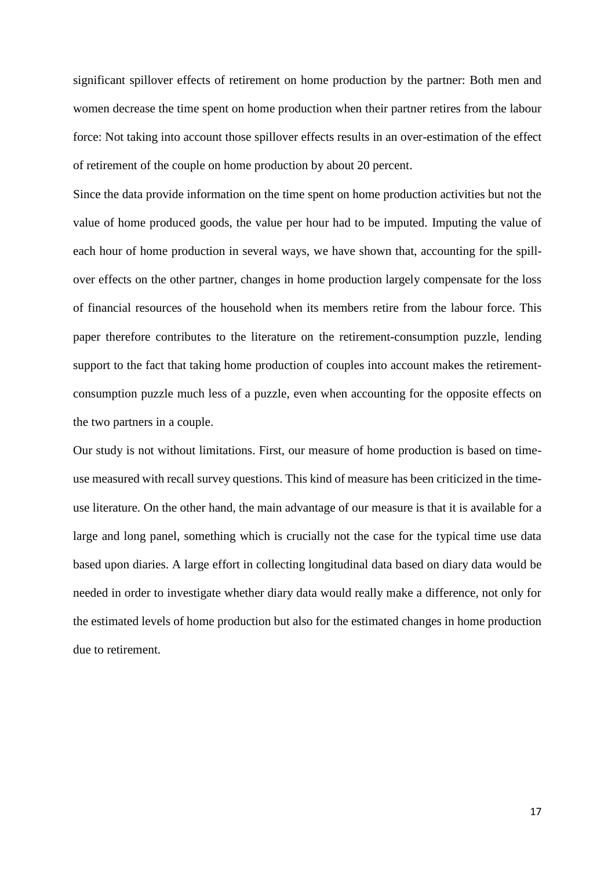significant spillover effects of retirement on home production by the partner: Both men and women decrease the time spent on home production when their partner retires from the labour force: Not taking into account those spillover effects results in an over-estimation of the effect of retirement of the couple on home production by about 20 percent.

Since the data provide information on the time spent on home production activities but not the value of home produced goods, the value per hour had to be imputed. Imputing the value of each hour of home production in several ways, we have shown that, accounting for the spillover effects on the other partner, changes in home production largely compensate for the loss of financial resources of the household when its members retire from the labour force. This paper therefore contributes to the literature on the retirement-consumption puzzle, lending support to the fact that taking home production of couples into account makes the retirementconsumption puzzle much less of a puzzle, even when accounting for the opposite effects on the two partners in a couple.

Our study is not without limitations. First, our measure of home production is based on timeuse measured with recall survey questions. This kind of measure has been criticized in the timeuse literature. On the other hand, the main advantage of our measure is that it is available for a large and long panel, something which is crucially not the case for the typical time use data based upon diaries. A large effort in collecting longitudinal data based on diary data would be needed in order to investigate whether diary data would really make a difference, not only for the estimated levels of home production but also for the estimated changes in home production due to retirement.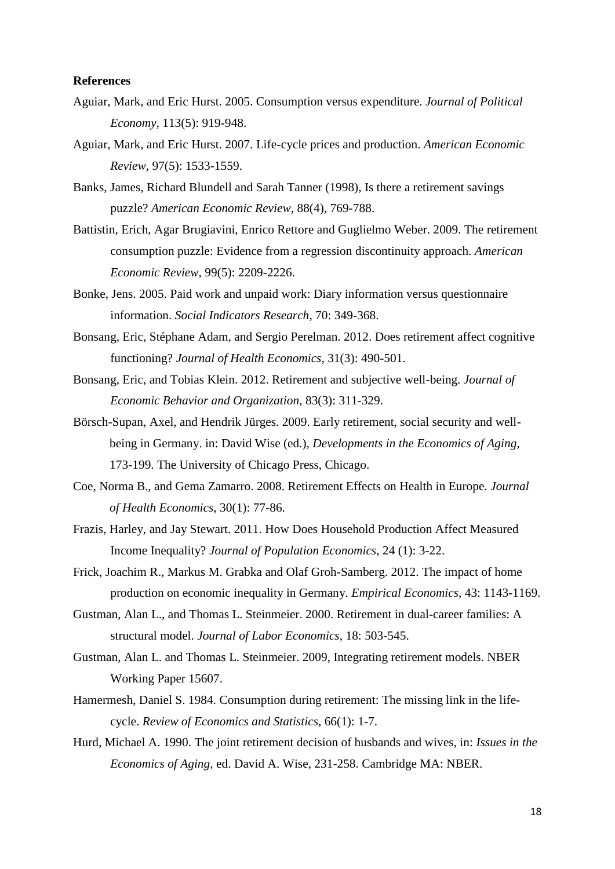#### **References**

- Aguiar, Mark, and Eric Hurst. 2005. Consumption versus expenditure. *Journal of Political Economy*, 113(5): 919-948.
- Aguiar, Mark, and Eric Hurst. 2007. Life-cycle prices and production. *American Economic Review,* 97(5): 1533-1559.
- Banks, James, Richard Blundell and Sarah Tanner (1998), Is there a retirement savings puzzle? *American Economic Review*, 88(4), 769-788.
- Battistin, Erich, Agar Brugiavini, Enrico Rettore and Guglielmo Weber. 2009. The retirement consumption puzzle: Evidence from a regression discontinuity approach. *American Economic Review,* 99(5): 2209-2226.
- Bonke, Jens. 2005. Paid work and unpaid work: Diary information versus questionnaire information. *Social Indicators Research*, 70: 349-368.
- Bonsang, Eric, Stéphane Adam, and Sergio Perelman. 2012. Does retirement affect cognitive functioning? *Journal of Health Economics*, 31(3): 490-501.
- Bonsang, Eric, and Tobias Klein. 2012. Retirement and subjective well-being. *Journal of Economic Behavior and Organization*, 83(3): 311-329.
- Börsch-Supan, Axel, and Hendrik Jürges. 2009. Early retirement, social security and wellbeing in Germany. in: David Wise (ed.), *Developments in the Economics of Aging,*  173-199. The University of Chicago Press, Chicago.
- Coe, Norma B., and Gema Zamarro. 2008. Retirement Effects on Health in Europe. *Journal of Health Economics*, 30(1): 77-86.
- Frazis, Harley, and Jay Stewart. 2011. How Does Household Production Affect Measured Income Inequality? *Journal of Population Economics*, 24 (1): 3-22.
- Frick, Joachim R., Markus M. Grabka and Olaf Groh-Samberg. 2012. The impact of home production on economic inequality in Germany. *Empirical Economics,* 43: 1143-1169.
- Gustman, Alan L., and Thomas L. Steinmeier. 2000. Retirement in dual-career families: A structural model. *Journal of Labor Economics*, 18: 503-545.
- Gustman, Alan L. and Thomas L. Steinmeier. 2009, Integrating retirement models. NBER Working Paper 15607.
- Hamermesh, Daniel S. 1984. Consumption during retirement: The missing link in the lifecycle. *Review of Economics and Statistics,* 66(1): 1-7.
- Hurd, Michael A. 1990. The joint retirement decision of husbands and wives, in: *Issues in the Economics of Aging,* ed. David A. Wise, 231-258. Cambridge MA: NBER.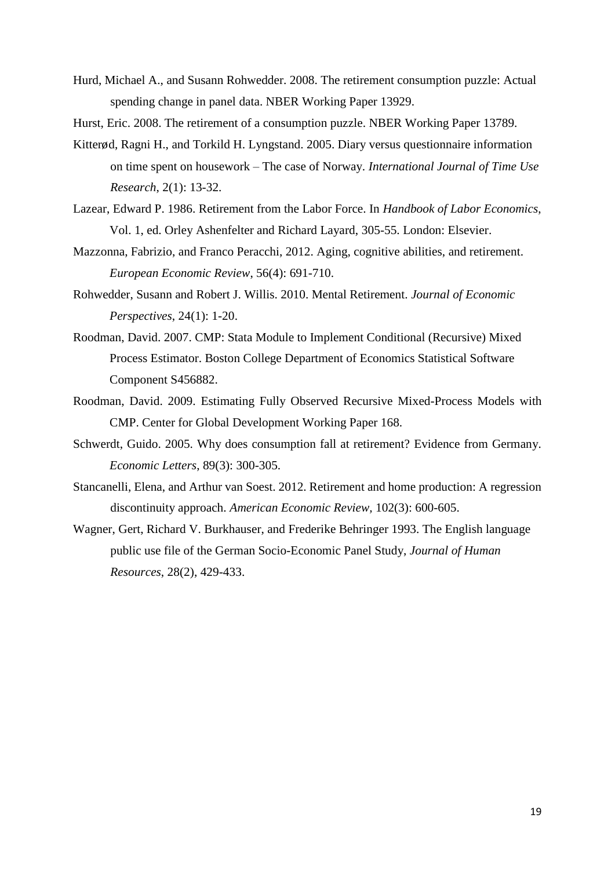- Hurd, Michael A., and Susann Rohwedder. 2008. The retirement consumption puzzle: Actual spending change in panel data. NBER Working Paper 13929.
- Hurst, Eric. 2008. The retirement of a consumption puzzle. NBER Working Paper 13789.
- Kitterød, Ragni H., and Torkild H. Lyngstand. 2005. Diary versus questionnaire information on time spent on housework – The case of Norway. *International Journal of Time Use Research*, 2(1): 13-32.
- Lazear, Edward P. 1986. Retirement from the Labor Force. In *Handbook of Labor Economics*, Vol. 1, ed. Orley Ashenfelter and Richard Layard, 305-55. London: Elsevier.
- Mazzonna, Fabrizio, and Franco Peracchi, 2012. Aging, cognitive abilities, and retirement. *European Economic Review*, 56(4): 691-710.
- Rohwedder, Susann and Robert J. Willis. 2010. Mental Retirement. *Journal of Economic Perspectives*, 24(1): 1-20.
- Roodman, David. 2007. CMP: Stata Module to Implement Conditional (Recursive) Mixed Process Estimator. Boston College Department of Economics Statistical Software Component S456882.
- Roodman, David. 2009. Estimating Fully Observed Recursive Mixed-Process Models with CMP. Center for Global Development Working Paper 168.
- Schwerdt, Guido. 2005. Why does consumption fall at retirement? Evidence from Germany. *Economic Letters*, 89(3): 300-305.
- Stancanelli, Elena, and Arthur van Soest. 2012. Retirement and home production: A regression discontinuity approach. *American Economic Review,* 102(3): 600-605.
- Wagner, Gert, Richard V. Burkhauser, and Frederike Behringer 1993. The English language public use file of the German Socio-Economic Panel Study, *Journal of Human Resources*, 28(2), 429-433.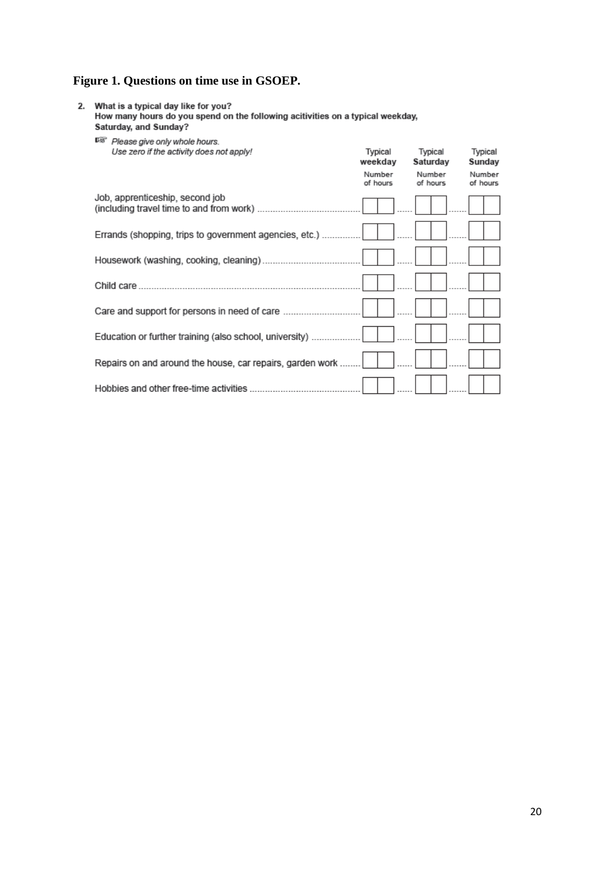### **Figure 1. Questions on time use in GSOEP.**

2. What is a typical day like for you?<br>How many hours do you spend on the following acitivities on a typical weekday,<br>Saturday, and Sunday?

 $\mathbb{R}$   $D$  lease rive only whole hours

| Please give only wright flours.                           |                    |                     |                    |
|-----------------------------------------------------------|--------------------|---------------------|--------------------|
| Use zero if the activity does not apply!                  | Typical<br>weekday | Typical<br>Saturday | Typical<br>Sunday  |
|                                                           | Number<br>of hours | Number<br>of hours  | Number<br>of hours |
| Job, apprenticeship, second job                           |                    |                     |                    |
| Errands (shopping, trips to government agencies, etc.)    |                    |                     |                    |
|                                                           |                    |                     |                    |
|                                                           |                    |                     |                    |
| Care and support for persons in need of care              |                    |                     |                    |
| Education or further training (also school, university)   |                    |                     |                    |
| Repairs on and around the house, car repairs, garden work |                    |                     |                    |
|                                                           |                    |                     |                    |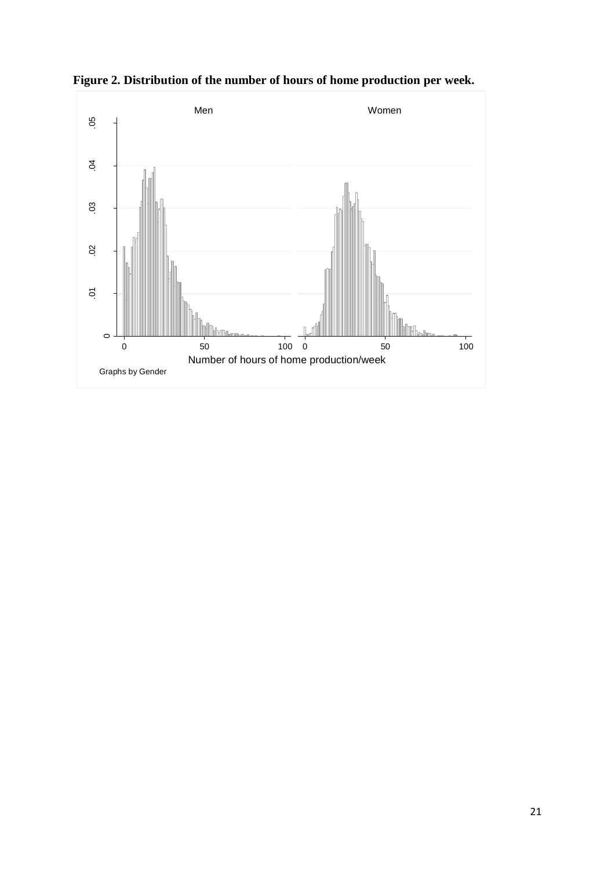

**Figure 2. Distribution of the number of hours of home production per week.**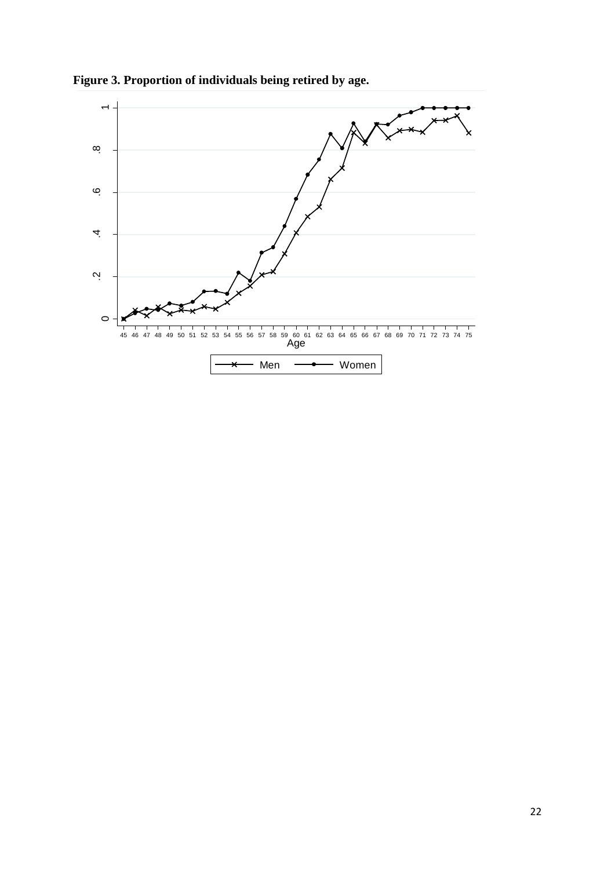

**Figure 3. Proportion of individuals being retired by age.**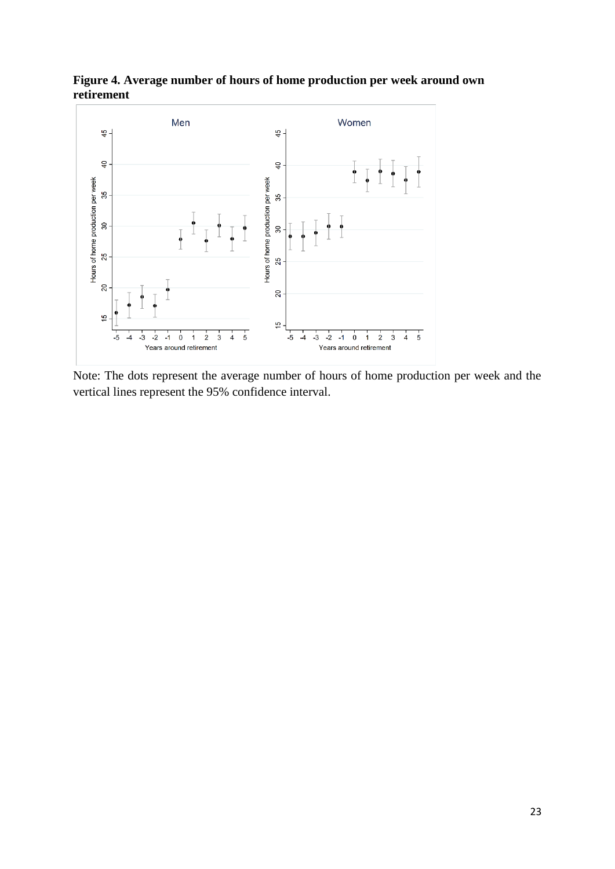

**Figure 4. Average number of hours of home production per week around own retirement**

Note: The dots represent the average number of hours of home production per week and the vertical lines represent the 95% confidence interval.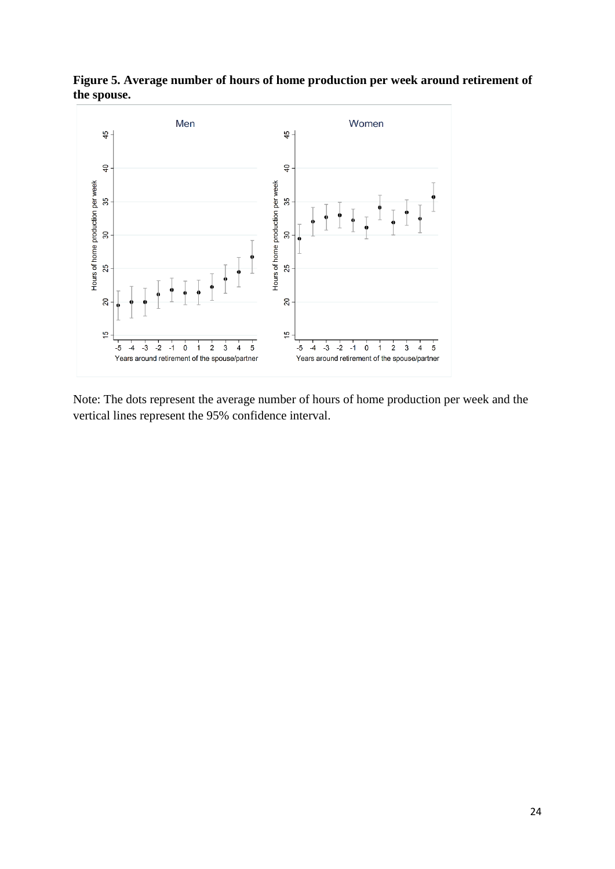

**Figure 5. Average number of hours of home production per week around retirement of the spouse.**

Note: The dots represent the average number of hours of home production per week and the vertical lines represent the 95% confidence interval.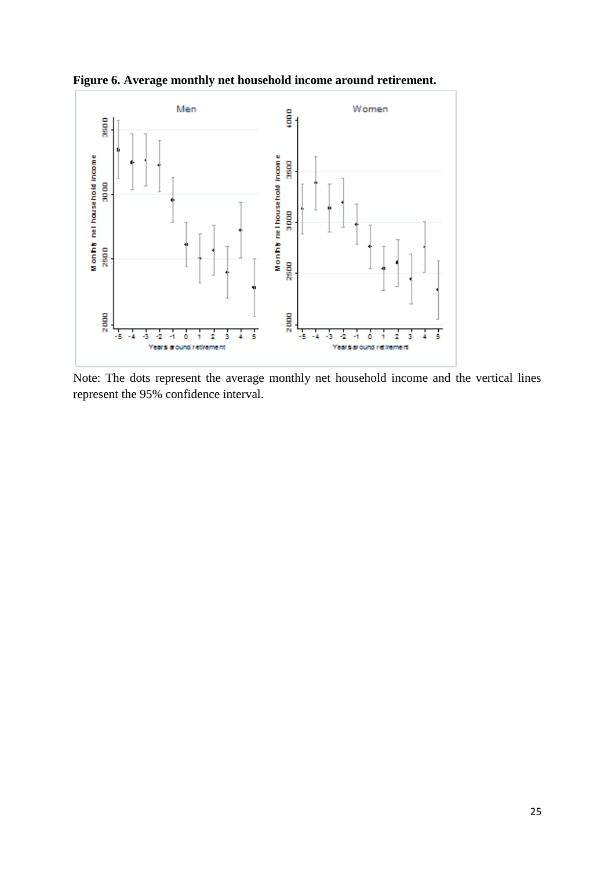

**Figure 6. Average monthly net household income around retirement.**

Note: The dots represent the average monthly net household income and the vertical lines represent the 95% confidence interval.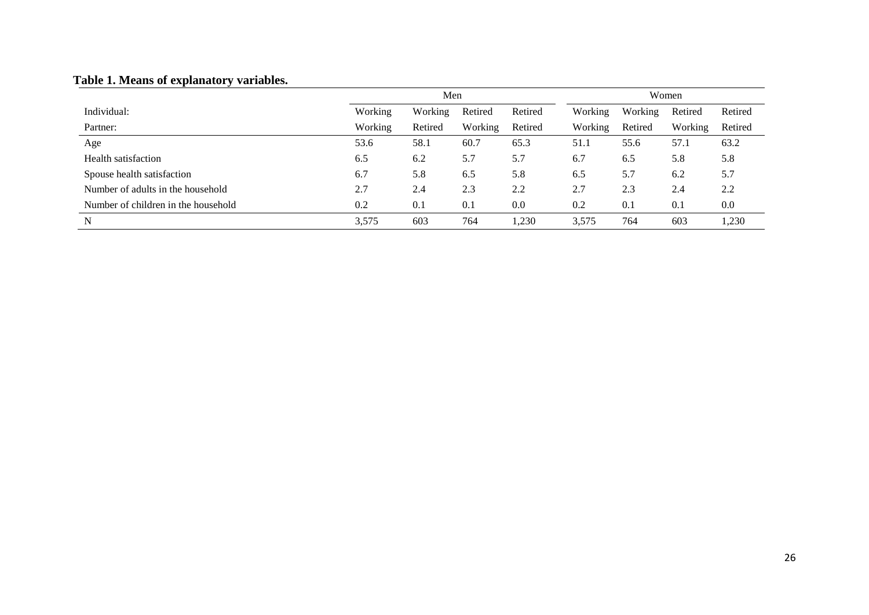# **Table 1. Means of explanatory variables.**

|                                     | Men     |         |         | Women   |         |         |         |         |
|-------------------------------------|---------|---------|---------|---------|---------|---------|---------|---------|
| Individual:                         | Working | Working | Retired | Retired | Working | Working | Retired | Retired |
| Partner:                            | Working | Retired | Working | Retired | Working | Retired | Working | Retired |
| Age                                 | 53.6    | 58.1    | 60.7    | 65.3    | 51.1    | 55.6    | 57.1    | 63.2    |
| Health satisfaction                 | 6.5     | 6.2     | 5.7     | 5.7     | 6.7     | 6.5     | 5.8     | 5.8     |
| Spouse health satisfaction          | 6.7     | 5.8     | 6.5     | 5.8     | 6.5     | 5.7     | 6.2     | 5.7     |
| Number of adults in the household   | 2.7     | 2.4     | 2.3     | 2.2     | 2.7     | 2.3     | 2.4     | 2.2     |
| Number of children in the household | 0.2     | 0.1     | 0.1     | 0.0     | 0.2     | 0.1     | 0.1     | 0.0     |
| N                                   | 3,575   | 603     | 764     | 1,230   | 3,575   | 764     | 603     | 1,230   |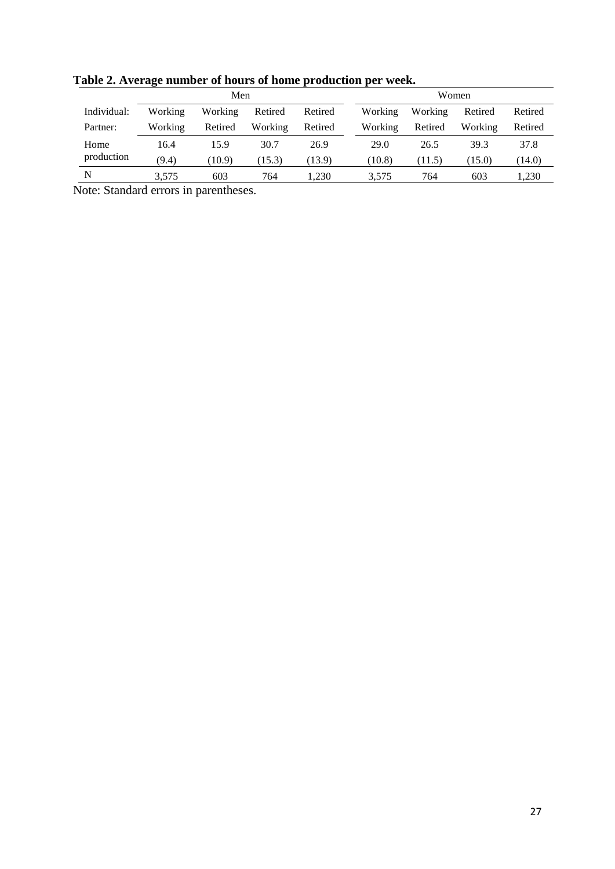|             | Men     |         |         | Women   |  |         |         |         |         |
|-------------|---------|---------|---------|---------|--|---------|---------|---------|---------|
| Individual: | Working | Working | Retired | Retired |  | Working | Working | Retired | Retired |
| Partner:    | Working | Retired | Working | Retired |  | Working | Retired | Working | Retired |
| Home        | 16.4    | 15.9    | 30.7    | 26.9    |  | 29.0    | 26.5    | 39.3    | 37.8    |
| production  | (9.4)   | (10.9)  | (15.3)  | (13.9)  |  | (10.8)  | (11.5)  | (15.0)  | (14.0)  |
| N           | 3,575   | 603     | 764     | ,230    |  | 3,575   | 764     | 603     | 1,230   |

**Table 2. Average number of hours of home production per week.** 

Note: Standard errors in parentheses.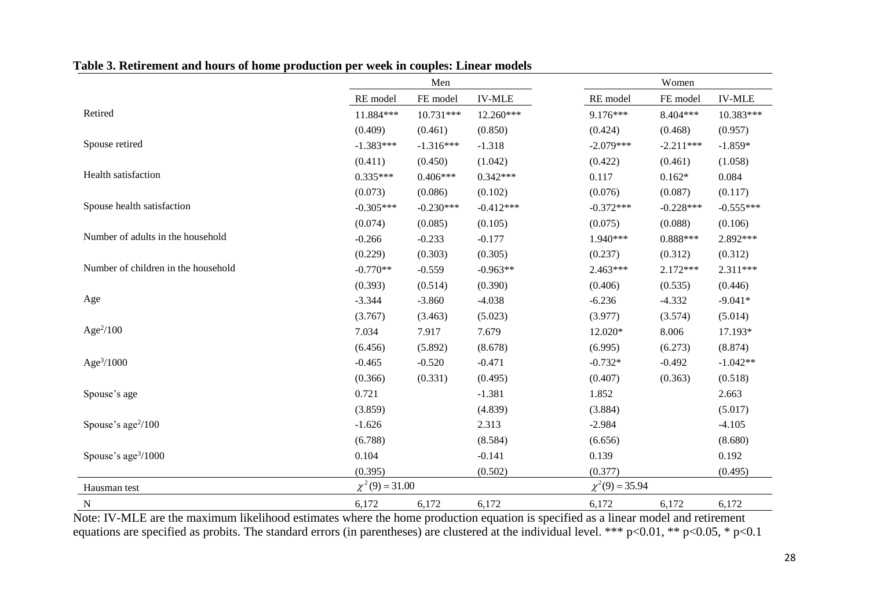|                                     |                     | Men         |               |                     | Women       |               |
|-------------------------------------|---------------------|-------------|---------------|---------------------|-------------|---------------|
|                                     | RE model            | FE model    | <b>IV-MLE</b> | RE model            | FE model    | <b>IV-MLE</b> |
| Retired                             | 11.884***           | 10.731***   | $12.260***$   | $9.176***$          | 8.404***    | 10.383***     |
|                                     | (0.409)             | (0.461)     | (0.850)       | (0.424)             | (0.468)     | (0.957)       |
| Spouse retired                      | $-1.383***$         | $-1.316***$ | $-1.318$      | $-2.079***$         | $-2.211***$ | $-1.859*$     |
|                                     | (0.411)             | (0.450)     | (1.042)       | (0.422)             | (0.461)     | (1.058)       |
| Health satisfaction                 | $0.335***$          | $0.406***$  | $0.342***$    | 0.117               | $0.162*$    | 0.084         |
|                                     | (0.073)             | (0.086)     | (0.102)       | (0.076)             | (0.087)     | (0.117)       |
| Spouse health satisfaction          | $-0.305***$         | $-0.230***$ | $-0.412***$   | $-0.372***$         | $-0.228***$ | $-0.555***$   |
|                                     | (0.074)             | (0.085)     | (0.105)       | (0.075)             | (0.088)     | (0.106)       |
| Number of adults in the household   | $-0.266$            | $-0.233$    | $-0.177$      | 1.940***            | $0.888***$  | 2.892 ***     |
|                                     | (0.229)             | (0.303)     | (0.305)       | (0.237)             | (0.312)     | (0.312)       |
| Number of children in the household | $-0.770**$          | $-0.559$    | $-0.963**$    | $2.463***$          | $2.172***$  | 2.311***      |
|                                     | (0.393)             | (0.514)     | (0.390)       | (0.406)             | (0.535)     | (0.446)       |
| Age                                 | $-3.344$            | $-3.860$    | $-4.038$      | $-6.236$            | $-4.332$    | $-9.041*$     |
|                                     | (3.767)             | (3.463)     | (5.023)       | (3.977)             | (3.574)     | (5.014)       |
| Age $\frac{2}{100}$                 | 7.034               | 7.917       | 7.679         | 12.020*             | 8.006       | 17.193*       |
|                                     | (6.456)             | (5.892)     | (8.678)       | (6.995)             | (6.273)     | (8.874)       |
| Age <sup>3</sup> /1000              | $-0.465$            | $-0.520$    | $-0.471$      | $-0.732*$           | $-0.492$    | $-1.042**$    |
|                                     | (0.366)             | (0.331)     | (0.495)       | (0.407)             | (0.363)     | (0.518)       |
| Spouse's age                        | 0.721               |             | $-1.381$      | 1.852               |             | 2.663         |
|                                     | (3.859)             |             | (4.839)       | (3.884)             |             | (5.017)       |
| Spouse's age <sup>2</sup> /100      | $-1.626$            |             | 2.313         | $-2.984$            |             | $-4.105$      |
|                                     | (6.788)             |             | (8.584)       | (6.656)             |             | (8.680)       |
| Spouse's age <sup>3</sup> /1000     | 0.104               |             | $-0.141$      | 0.139               |             | 0.192         |
|                                     | (0.395)             |             | (0.502)       | (0.377)             |             | (0.495)       |
| Hausman test                        | $\chi^2(9) = 31.00$ |             |               | $\chi^2(9) = 35.94$ |             |               |
| $\mathbf N$                         | 6,172               | 6,172       | 6,172         | 6,172               | 6,172       | 6,172         |

**Table 3. Retirement and hours of home production per week in couples: Linear models**

Note: IV-MLE are the maximum likelihood estimates where the home production equation is specified as a linear model and retirement equations are specified as probits. The standard errors (in parentheses) are clustered at the individual level. \*\*\* p<0.01, \*\* p<0.05, \* p<0.1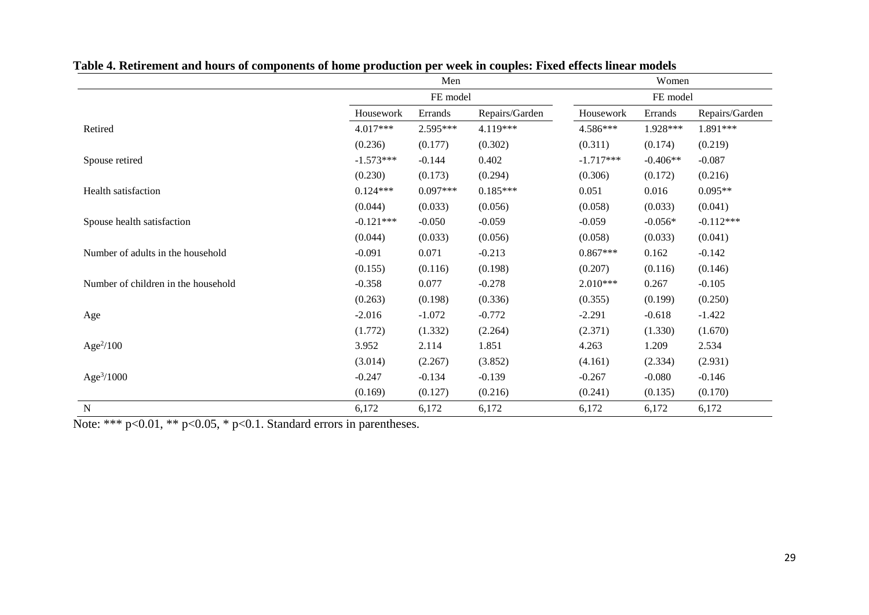|                                     |             | Men        |                |             | Women      |                |  |  |
|-------------------------------------|-------------|------------|----------------|-------------|------------|----------------|--|--|
|                                     |             | FE model   |                |             | FE model   |                |  |  |
|                                     | Housework   | Errands    | Repairs/Garden | Housework   | Errands    | Repairs/Garden |  |  |
| Retired                             | $4.017***$  | 2.595***   | 4.119***       | 4.586***    | 1.928***   | 1.891***       |  |  |
|                                     | (0.236)     | (0.177)    | (0.302)        | (0.311)     | (0.174)    | (0.219)        |  |  |
| Spouse retired                      | $-1.573***$ | $-0.144$   | 0.402          | $-1.717***$ | $-0.406**$ | $-0.087$       |  |  |
|                                     | (0.230)     | (0.173)    | (0.294)        | (0.306)     | (0.172)    | (0.216)        |  |  |
| <b>Health satisfaction</b>          | $0.124***$  | $0.097***$ | $0.185***$     | 0.051       | 0.016      | $0.095**$      |  |  |
|                                     | (0.044)     | (0.033)    | (0.056)        | (0.058)     | (0.033)    | (0.041)        |  |  |
| Spouse health satisfaction          | $-0.121***$ | $-0.050$   | $-0.059$       | $-0.059$    | $-0.056*$  | $-0.112***$    |  |  |
|                                     | (0.044)     | (0.033)    | (0.056)        | (0.058)     | (0.033)    | (0.041)        |  |  |
| Number of adults in the household   | $-0.091$    | 0.071      | $-0.213$       | $0.867***$  | 0.162      | $-0.142$       |  |  |
|                                     | (0.155)     | (0.116)    | (0.198)        | (0.207)     | (0.116)    | (0.146)        |  |  |
| Number of children in the household | $-0.358$    | 0.077      | $-0.278$       | $2.010***$  | 0.267      | $-0.105$       |  |  |
|                                     | (0.263)     | (0.198)    | (0.336)        | (0.355)     | (0.199)    | (0.250)        |  |  |
| Age                                 | $-2.016$    | $-1.072$   | $-0.772$       | $-2.291$    | $-0.618$   | $-1.422$       |  |  |
|                                     | (1.772)     | (1.332)    | (2.264)        | (2.371)     | (1.330)    | (1.670)        |  |  |
| Age $\frac{2}{100}$                 | 3.952       | 2.114      | 1.851          | 4.263       | 1.209      | 2.534          |  |  |
|                                     | (3.014)     | (2.267)    | (3.852)        | (4.161)     | (2.334)    | (2.931)        |  |  |
| Age $3/1000$                        | $-0.247$    | $-0.134$   | $-0.139$       | $-0.267$    | $-0.080$   | $-0.146$       |  |  |
|                                     | (0.169)     | (0.127)    | (0.216)        | (0.241)     | (0.135)    | (0.170)        |  |  |
| $\mathbf N$                         | 6,172       | 6,172      | 6,172          | 6,172       | 6,172      | 6,172          |  |  |

**Table 4. Retirement and hours of components of home production per week in couples: Fixed effects linear models**

Note: \*\*\* p<0.01, \*\* p<0.05, \* p<0.1. Standard errors in parentheses.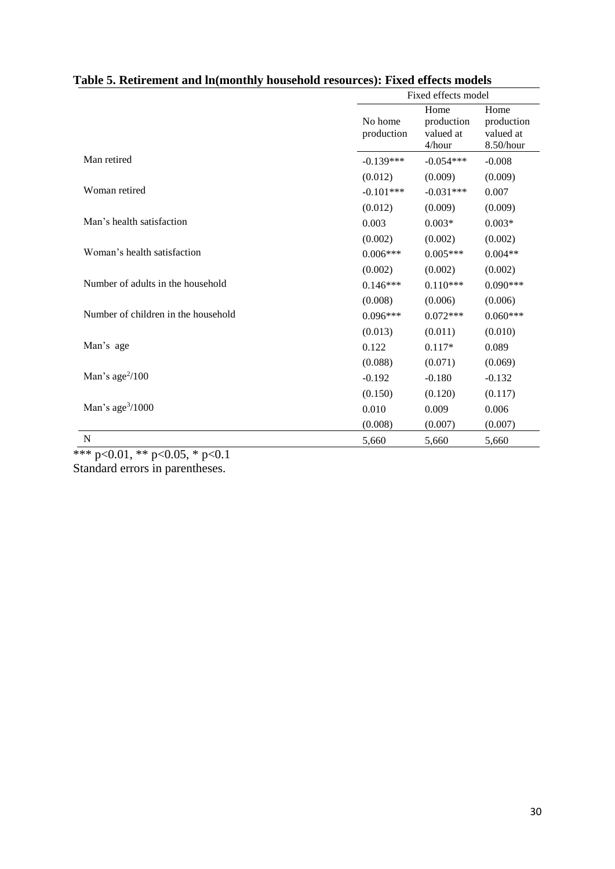|                                     |                       | Fixed effects model                       |                                              |  |  |
|-------------------------------------|-----------------------|-------------------------------------------|----------------------------------------------|--|--|
|                                     | No home<br>production | Home<br>production<br>valued at<br>4/hour | Home<br>production<br>valued at<br>8.50/hour |  |  |
| Man retired                         | $-0.139***$           | $-0.054***$                               | $-0.008$                                     |  |  |
|                                     | (0.012)               | (0.009)                                   | (0.009)                                      |  |  |
| Woman retired                       | $-0.101***$           | $-0.031***$                               | 0.007                                        |  |  |
|                                     | (0.012)               | (0.009)                                   | (0.009)                                      |  |  |
| Man's health satisfaction           | 0.003                 | $0.003*$                                  | $0.003*$                                     |  |  |
|                                     | (0.002)               | (0.002)                                   | (0.002)                                      |  |  |
| Woman's health satisfaction         | $0.006***$            | $0.005***$                                | $0.004**$                                    |  |  |
|                                     | (0.002)               | (0.002)                                   | (0.002)                                      |  |  |
| Number of adults in the household   | $0.146***$            | $0.110***$                                | $0.090***$                                   |  |  |
|                                     | (0.008)               | (0.006)                                   | (0.006)                                      |  |  |
| Number of children in the household | $0.096***$            | $0.072***$                                | $0.060***$                                   |  |  |
|                                     | (0.013)               | (0.011)                                   | (0.010)                                      |  |  |
| Man's age                           | 0.122                 | $0.117*$                                  | 0.089                                        |  |  |
|                                     | (0.088)               | (0.071)                                   | (0.069)                                      |  |  |
| Man's age $\frac{2}{100}$           | $-0.192$              | $-0.180$                                  | $-0.132$                                     |  |  |
|                                     | (0.150)               | (0.120)                                   | (0.117)                                      |  |  |
| Man's age $3/1000$                  | 0.010                 | 0.009                                     | 0.006                                        |  |  |
|                                     | (0.008)               | (0.007)                                   | (0.007)                                      |  |  |
| ${\bf N}$                           | 5,660                 | 5,660                                     | 5,660                                        |  |  |

### **Table 5. Retirement and ln(monthly household resources): Fixed effects models**

\*\*\* p<0.01, \*\* p<0.05, \* p<0.1 Standard errors in parentheses.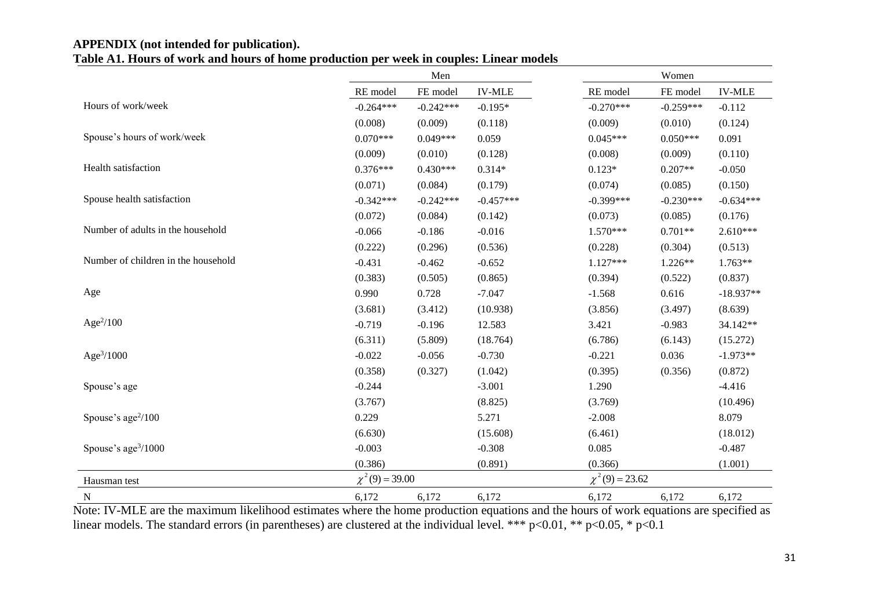#### **APPENDIX (not intended for publication). Table A1. Hours of work and hours of home production per week in couples: Linear models**

|                                     | Men                 |             |               |                     | Women       |               |
|-------------------------------------|---------------------|-------------|---------------|---------------------|-------------|---------------|
|                                     | RE model            | FE model    | <b>IV-MLE</b> | RE model            | FE model    | <b>IV-MLE</b> |
| Hours of work/week                  | $-0.264***$         | $-0.242***$ | $-0.195*$     | $-0.270***$         | $-0.259***$ | $-0.112$      |
|                                     | (0.008)             | (0.009)     | (0.118)       | (0.009)             | (0.010)     | (0.124)       |
| Spouse's hours of work/week         | $0.070***$          | $0.049***$  | 0.059         | $0.045***$          | $0.050***$  | 0.091         |
|                                     | (0.009)             | (0.010)     | (0.128)       | (0.008)             | (0.009)     | (0.110)       |
| Health satisfaction                 | $0.376***$          | $0.430***$  | $0.314*$      | $0.123*$            | $0.207**$   | $-0.050$      |
|                                     | (0.071)             | (0.084)     | (0.179)       | (0.074)             | (0.085)     | (0.150)       |
| Spouse health satisfaction          | $-0.342***$         | $-0.242***$ | $-0.457***$   | $-0.399***$         | $-0.230***$ | $-0.634***$   |
|                                     | (0.072)             | (0.084)     | (0.142)       | (0.073)             | (0.085)     | (0.176)       |
| Number of adults in the household   | $-0.066$            | $-0.186$    | $-0.016$      | $1.570***$          | $0.701**$   | $2.610***$    |
|                                     | (0.222)             | (0.296)     | (0.536)       | (0.228)             | (0.304)     | (0.513)       |
| Number of children in the household | $-0.431$            | $-0.462$    | $-0.652$      | $1.127***$          | $1.226**$   | 1.763**       |
|                                     | (0.383)             | (0.505)     | (0.865)       | (0.394)             | (0.522)     | (0.837)       |
| Age                                 | 0.990               | 0.728       | $-7.047$      | $-1.568$            | 0.616       | $-18.937**$   |
|                                     | (3.681)             | (3.412)     | (10.938)      | (3.856)             | (3.497)     | (8.639)       |
| Age $\frac{2}{100}$                 | $-0.719$            | $-0.196$    | 12.583        | 3.421               | $-0.983$    | 34.142**      |
|                                     | (6.311)             | (5.809)     | (18.764)      | (6.786)             | (6.143)     | (15.272)      |
| Age $3/1000$                        | $-0.022$            | $-0.056$    | $-0.730$      | $-0.221$            | 0.036       | $-1.973**$    |
|                                     | (0.358)             | (0.327)     | (1.042)       | (0.395)             | (0.356)     | (0.872)       |
| Spouse's age                        | $-0.244$            |             | $-3.001$      | 1.290               |             | $-4.416$      |
|                                     | (3.767)             |             | (8.825)       | (3.769)             |             | (10.496)      |
| Spouse's $age^2/100$                | 0.229               |             | 5.271         | $-2.008$            |             | 8.079         |
|                                     | (6.630)             |             | (15.608)      | (6.461)             |             | (18.012)      |
| Spouse's age $\frac{3}{1000}$       | $-0.003$            |             | $-0.308$      | 0.085               |             | $-0.487$      |
|                                     | (0.386)             |             | (0.891)       | (0.366)             |             | (1.001)       |
| Hausman test                        | $\chi^2(9) = 39.00$ |             |               | $\chi^2(9) = 23.62$ |             |               |
| $\mathbf N$                         | 6,172               | 6,172       | 6,172         | 6,172               | 6,172       | 6,172         |

Note: IV-MLE are the maximum likelihood estimates where the home production equations and the hours of work equations are specified as linear models. The standard errors (in parentheses) are clustered at the individual level. \*\*\* p<0.01, \*\* p<0.05, \* p<0.1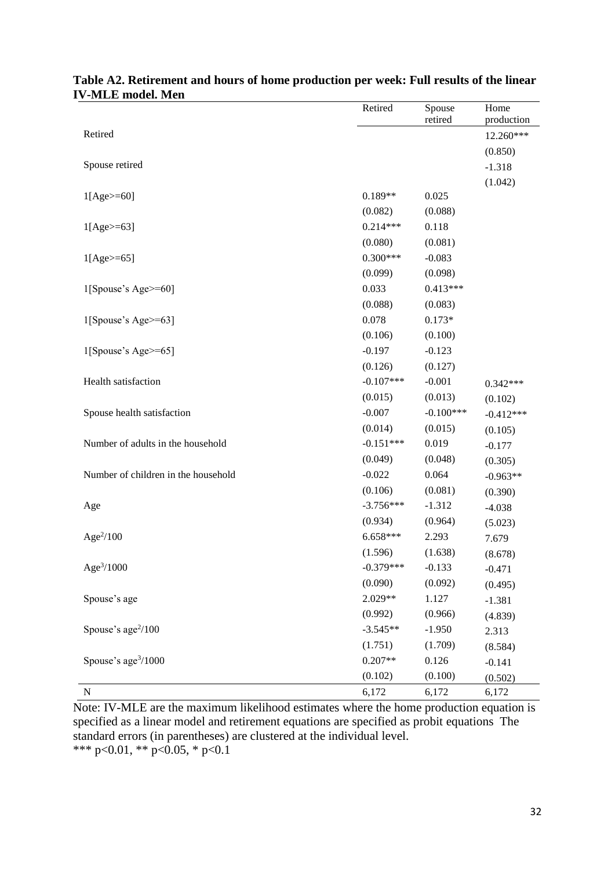|                                     | Retired     | Spouse<br>retired | Home<br>production |
|-------------------------------------|-------------|-------------------|--------------------|
| Retired                             |             |                   | 12.260***          |
|                                     |             |                   | (0.850)            |
| Spouse retired                      |             |                   | $-1.318$           |
|                                     |             |                   | (1.042)            |
| $1[Age>=60]$                        | $0.189**$   | 0.025             |                    |
|                                     | (0.082)     | (0.088)           |                    |
| $1[Age>=63]$                        | $0.214***$  | 0.118             |                    |
|                                     | (0.080)     | (0.081)           |                    |
| $1[Age>=65]$                        | $0.300***$  | $-0.083$          |                    |
|                                     | (0.099)     | (0.098)           |                    |
| 1[Spouse's Age>=60]                 | 0.033       | $0.413***$        |                    |
|                                     | (0.088)     | (0.083)           |                    |
| 1[Spouse's Age>=63]                 | 0.078       | $0.173*$          |                    |
|                                     | (0.106)     | (0.100)           |                    |
| 1[Spouse's Age>=65]                 | $-0.197$    | $-0.123$          |                    |
|                                     | (0.126)     | (0.127)           |                    |
| Health satisfaction                 | $-0.107***$ | $-0.001$          | $0.342***$         |
|                                     | (0.015)     | (0.013)           | (0.102)            |
| Spouse health satisfaction          | $-0.007$    | $-0.100***$       | $-0.412***$        |
|                                     | (0.014)     | (0.015)           | (0.105)            |
| Number of adults in the household   | $-0.151***$ | 0.019             | $-0.177$           |
|                                     | (0.049)     | (0.048)           | (0.305)            |
| Number of children in the household | $-0.022$    | 0.064             | $-0.963**$         |
|                                     | (0.106)     | (0.081)           | (0.390)            |
| Age                                 | $-3.756***$ | $-1.312$          | $-4.038$           |
|                                     | (0.934)     | (0.964)           | (5.023)            |
| Age $2/100$                         | $6.658***$  | 2.293             | 7.679              |
|                                     | (1.596)     | (1.638)           | (8.678)            |
| Age <sup>3</sup> /1000              | $-0.379***$ | $-0.133$          | $-0.471$           |
|                                     | (0.090)     | (0.092)           | (0.495)            |
| Spouse's age                        | 2.029**     | 1.127             | $-1.381$           |
|                                     | (0.992)     | (0.966)           | (4.839)            |
| Spouse's age <sup>2</sup> /100      | $-3.545**$  | $-1.950$          | 2.313              |
|                                     | (1.751)     | (1.709)           | (8.584)            |
| Spouse's age <sup>3</sup> /1000     | $0.207**$   | 0.126             | $-0.141$           |
|                                     | (0.102)     | (0.100)           | (0.502)            |
| ${\bf N}$                           | 6,172       | 6,172             | 6,172              |

### **Table A2. Retirement and hours of home production per week: Full results of the linear IV-MLE model. Men**

Note: IV-MLE are the maximum likelihood estimates where the home production equation is specified as a linear model and retirement equations are specified as probit equations The standard errors (in parentheses) are clustered at the individual level. \*\*\* p<0.01, \*\* p<0.05, \* p<0.1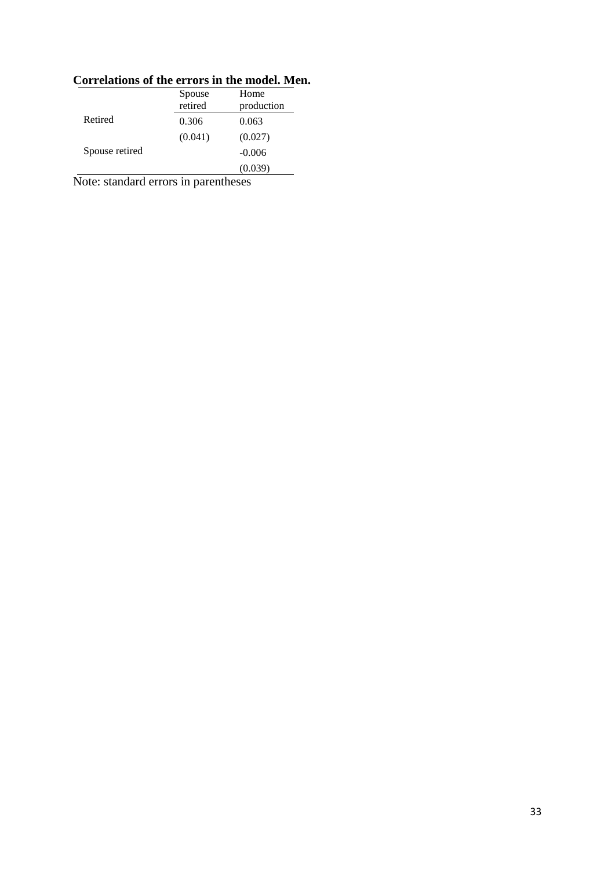|                | Spouse<br>retired | Home<br>production |
|----------------|-------------------|--------------------|
| Retired        | 0.306             | 0.063              |
|                | (0.041)           | (0.027)            |
| Spouse retired |                   | $-0.006$           |
|                |                   | (0.039)            |

# **Correlations of the errors in the model. Men.**

Note: standard errors in parentheses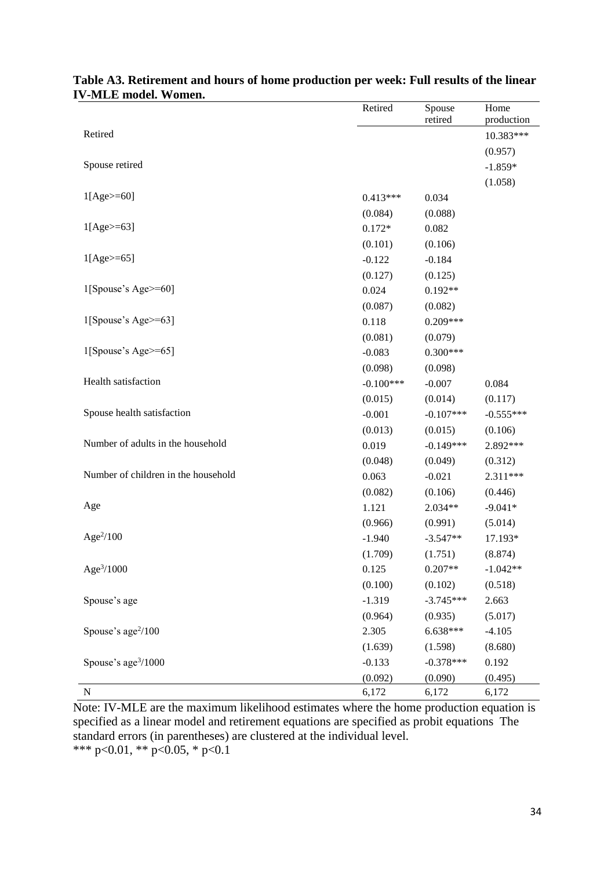|                                     | Retired     | Spouse<br>retired | Home<br>production |
|-------------------------------------|-------------|-------------------|--------------------|
| Retired                             |             |                   | 10.383***          |
|                                     |             |                   | (0.957)            |
| Spouse retired                      |             |                   | $-1.859*$          |
|                                     |             |                   | (1.058)            |
| $1[Age>=60]$                        | $0.413***$  | 0.034             |                    |
|                                     | (0.084)     | (0.088)           |                    |
| $1[Age>=63]$                        | $0.172*$    | 0.082             |                    |
|                                     | (0.101)     | (0.106)           |                    |
| $1[Age>=65]$                        | $-0.122$    | $-0.184$          |                    |
|                                     | (0.127)     | (0.125)           |                    |
| $1$ [Spouse's Age>=60]              | 0.024       | $0.192**$         |                    |
|                                     | (0.087)     | (0.082)           |                    |
| 1[Spouse's Age>=63]                 | 0.118       | $0.209***$        |                    |
|                                     | (0.081)     | (0.079)           |                    |
| $1$ [Spouse's Age>=65]              | $-0.083$    | $0.300***$        |                    |
|                                     | (0.098)     | (0.098)           |                    |
| Health satisfaction                 | $-0.100***$ | $-0.007$          | 0.084              |
|                                     | (0.015)     | (0.014)           | (0.117)            |
| Spouse health satisfaction          | $-0.001$    | $-0.107***$       | $-0.555***$        |
|                                     | (0.013)     | (0.015)           | (0.106)            |
| Number of adults in the household   | 0.019       | $-0.149***$       | 2.892***           |
|                                     | (0.048)     | (0.049)           | (0.312)            |
| Number of children in the household | 0.063       | $-0.021$          | $2.311***$         |
|                                     | (0.082)     | (0.106)           | (0.446)            |
| Age                                 | 1.121       | 2.034**           | $-9.041*$          |
|                                     | (0.966)     | (0.991)           | (5.014)            |
| Age $2/100$                         | $-1.940$    | $-3.547**$        | 17.193*            |
|                                     | (1.709)     | (1.751)           | (8.874)            |
| Age <sup>3</sup> /1000              | 0.125       | $0.207**$         | $-1.042**$         |
|                                     | (0.100)     | (0.102)           | (0.518)            |
| Spouse's age                        | $-1.319$    | $-3.745***$       | 2.663              |
|                                     | (0.964)     | (0.935)           | (5.017)            |
| Spouse's age <sup>2</sup> /100      | 2.305       | 6.638***          | $-4.105$           |
|                                     | (1.639)     | (1.598)           | (8.680)            |
| Spouse's age <sup>3</sup> /1000     | $-0.133$    | $-0.378***$       | 0.192              |
|                                     | (0.092)     | (0.090)           | (0.495)            |
| ${\bf N}$                           | 6,172       | 6,172             | 6,172              |

### **Table A3. Retirement and hours of home production per week: Full results of the linear IV-MLE model. Women.**

Note: IV-MLE are the maximum likelihood estimates where the home production equation is specified as a linear model and retirement equations are specified as probit equations The standard errors (in parentheses) are clustered at the individual level. \*\*\* p<0.01, \*\* p<0.05, \* p<0.1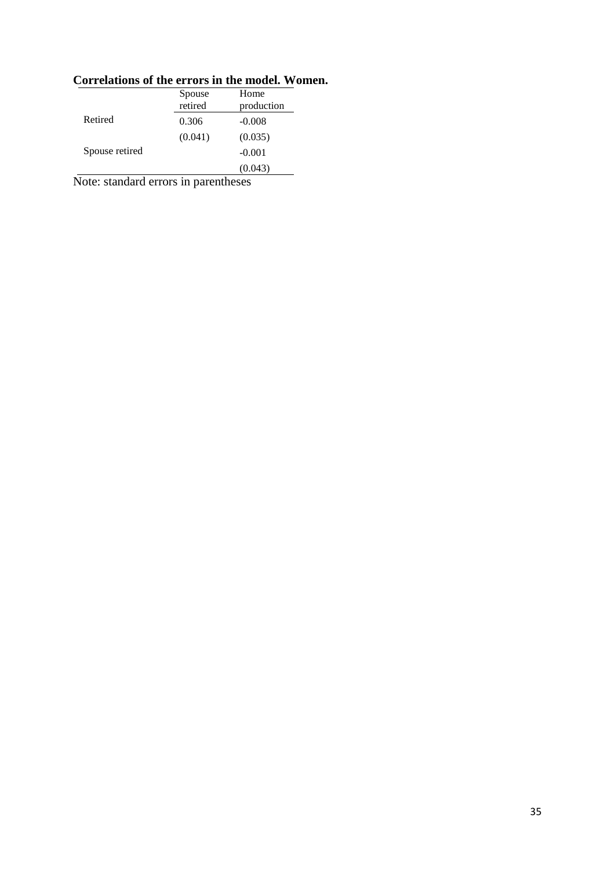|                | Spouse<br>retired | Home<br>production |
|----------------|-------------------|--------------------|
| Retired        | 0.306             | $-0.008$           |
|                | (0.041)           | (0.035)            |
| Spouse retired |                   | $-0.001$           |
|                |                   | (0.043)            |

## **Correlations of the errors in the model. Women.**

Note: standard errors in parentheses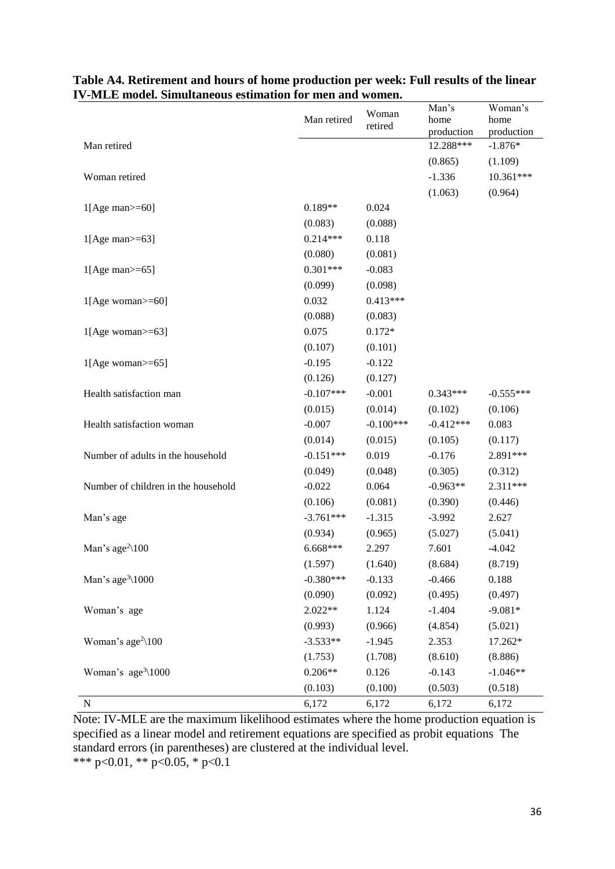|                                          | Man retired | Woman<br>retired | Man's<br>home<br>production | Woman's<br>home<br>production |
|------------------------------------------|-------------|------------------|-----------------------------|-------------------------------|
| Man retired                              |             |                  | 12.288***                   | $-1.876*$                     |
|                                          |             |                  | (0.865)                     | (1.109)                       |
| Woman retired                            |             |                  | $-1.336$                    | 10.361***                     |
|                                          |             |                  | (1.063)                     | (0.964)                       |
| $1[Age man>=60]$                         | $0.189**$   | 0.024            |                             |                               |
|                                          | (0.083)     | (0.088)          |                             |                               |
| $1[Age man>=63]$                         | $0.214***$  | 0.118            |                             |                               |
|                                          | (0.080)     | (0.081)          |                             |                               |
| $1[Age man>=65]$                         | $0.301***$  | $-0.083$         |                             |                               |
|                                          | (0.099)     | (0.098)          |                             |                               |
| $1[Age$ woman $>=$ 60]                   | 0.032       | $0.413***$       |                             |                               |
|                                          | (0.088)     | (0.083)          |                             |                               |
| $1[Age woman>=63]$                       | 0.075       | $0.172*$         |                             |                               |
|                                          | (0.107)     | (0.101)          |                             |                               |
| $1[Age$ woman $>= 65$ ]                  | $-0.195$    | $-0.122$         |                             |                               |
|                                          | (0.126)     | (0.127)          |                             |                               |
| Health satisfaction man                  | $-0.107***$ | $-0.001$         | $0.343***$                  | $-0.555***$                   |
|                                          | (0.015)     | (0.014)          | (0.102)                     | (0.106)                       |
| Health satisfaction woman                | $-0.007$    | $-0.100***$      | $-0.412***$                 | 0.083                         |
|                                          | (0.014)     | (0.015)          | (0.105)                     | (0.117)                       |
| Number of adults in the household        | $-0.151***$ | 0.019            | $-0.176$                    | 2.891***                      |
|                                          | (0.049)     | (0.048)          | (0.305)                     | (0.312)                       |
| Number of children in the household      | $-0.022$    | 0.064            | $-0.963**$                  | 2.311***                      |
|                                          | (0.106)     | (0.081)          | (0.390)                     | (0.446)                       |
| Man's age                                | $-3.761***$ | $-1.315$         | $-3.992$                    | 2.627                         |
|                                          | (0.934)     | (0.965)          | (5.027)                     | (5.041)                       |
| Man's age <sup>2</sup> $\setminus$ 100   | 6.668***    | 2.297            | 7.601                       | $-4.042$                      |
|                                          | (1.597)     | (1.640)          | (8.684)                     | (8.719)                       |
| Man's age <sup>3</sup> $\setminus$ 1000  | $-0.380***$ | $-0.133$         | $-0.466$                    | 0.188                         |
|                                          | (0.090)     | (0.092)          | (0.495)                     | (0.497)                       |
| Woman's age                              | $2.022**$   | 1.124            | $-1.404$                    | $-9.081*$                     |
|                                          | (0.993)     | (0.966)          | (4.854)                     | (5.021)                       |
| Woman's age <sup>2</sup> $\setminus$ 100 | $-3.533**$  | $-1.945$         | 2.353                       | 17.262*                       |
|                                          | (1.753)     | (1.708)          | (8.610)                     | (8.886)                       |
| Woman's $age^3\backslash 1000$           | $0.206**$   | 0.126            | $-0.143$                    | $-1.046**$                    |
|                                          | (0.103)     | (0.100)          | (0.503)                     | (0.518)                       |
| ${\bf N}$                                | 6,172       | 6,172            | 6,172                       | 6,172                         |

#### **Table A4. Retirement and hours of home production per week: Full results of the linear IV-MLE model. Simultaneous estimation for men and women.**

Note: IV-MLE are the maximum likelihood estimates where the home production equation is specified as a linear model and retirement equations are specified as probit equations The standard errors (in parentheses) are clustered at the individual level. \*\*\* p<0.01, \*\* p<0.05, \* p<0.1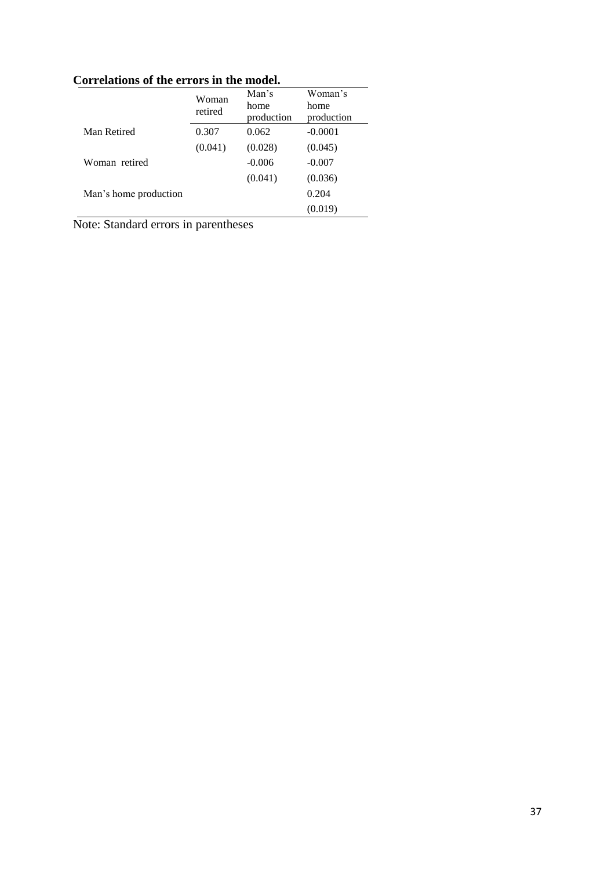| Correlations of the errors in the model. |                  |                             |                               |  |  |
|------------------------------------------|------------------|-----------------------------|-------------------------------|--|--|
|                                          | Woman<br>retired | Man's<br>home<br>production | Woman's<br>home<br>production |  |  |
| Man Retired                              | 0.307            | 0.062                       | $-0.0001$                     |  |  |
|                                          | (0.041)          | (0.028)                     | (0.045)                       |  |  |
| Woman retired                            |                  | $-0.006$                    | $-0.007$                      |  |  |
|                                          |                  | (0.041)                     | (0.036)                       |  |  |
| Man's home production                    |                  |                             | 0.204                         |  |  |
|                                          |                  |                             | (0.019)                       |  |  |

**Correlations of the errors in the model.** 

Note: Standard errors in parentheses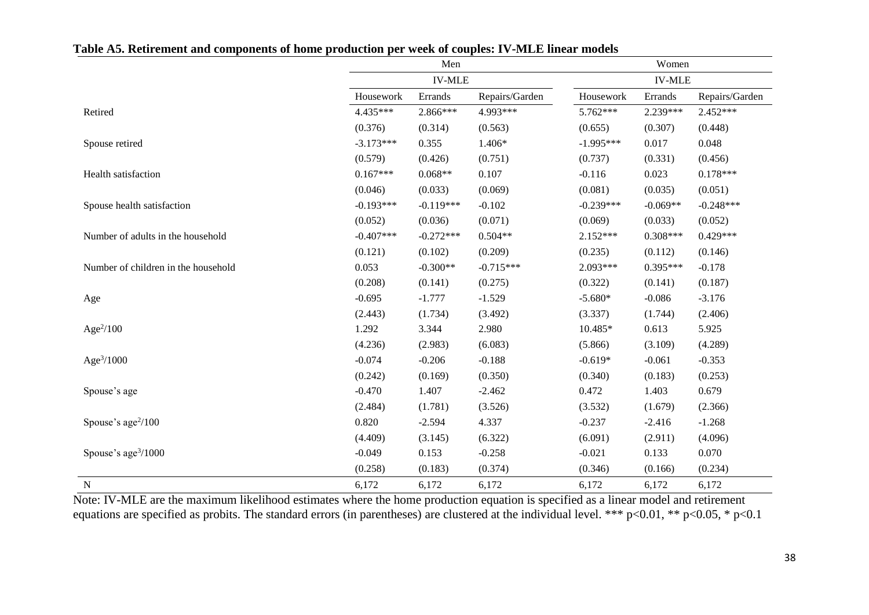|                                     |             | Men<br><b>IV-MLE</b> |                | Women<br><b>IV-MLE</b> |            |                |  |
|-------------------------------------|-------------|----------------------|----------------|------------------------|------------|----------------|--|
|                                     |             |                      |                |                        |            |                |  |
|                                     | Housework   | Errands              | Repairs/Garden | Housework              | Errands    | Repairs/Garden |  |
| Retired                             | 4.435***    | 2.866***             | 4.993***       | 5.762***               | 2.239***   | 2.452***       |  |
|                                     | (0.376)     | (0.314)              | (0.563)        | (0.655)                | (0.307)    | (0.448)        |  |
| Spouse retired                      | $-3.173***$ | 0.355                | $1.406*$       | $-1.995***$            | 0.017      | 0.048          |  |
|                                     | (0.579)     | (0.426)              | (0.751)        | (0.737)                | (0.331)    | (0.456)        |  |
| Health satisfaction                 | $0.167***$  | $0.068**$            | 0.107          | $-0.116$               | 0.023      | $0.178***$     |  |
|                                     | (0.046)     | (0.033)              | (0.069)        | (0.081)                | (0.035)    | (0.051)        |  |
| Spouse health satisfaction          | $-0.193***$ | $-0.119***$          | $-0.102$       | $-0.239***$            | $-0.069**$ | $-0.248***$    |  |
|                                     | (0.052)     | (0.036)              | (0.071)        | (0.069)                | (0.033)    | (0.052)        |  |
| Number of adults in the household   | $-0.407***$ | $-0.272***$          | $0.504**$      | $2.152***$             | $0.308***$ | $0.429***$     |  |
|                                     | (0.121)     | (0.102)              | (0.209)        | (0.235)                | (0.112)    | (0.146)        |  |
| Number of children in the household | 0.053       | $-0.300**$           | $-0.715***$    | $2.093***$             | $0.395***$ | $-0.178$       |  |
|                                     | (0.208)     | (0.141)              | (0.275)        | (0.322)                | (0.141)    | (0.187)        |  |
| Age                                 | $-0.695$    | $-1.777$             | $-1.529$       | $-5.680*$              | $-0.086$   | $-3.176$       |  |
|                                     | (2.443)     | (1.734)              | (3.492)        | (3.337)                | (1.744)    | (2.406)        |  |
| Age $2/100$                         | 1.292       | 3.344                | 2.980          | 10.485*                | 0.613      | 5.925          |  |
|                                     | (4.236)     | (2.983)              | (6.083)        | (5.866)                | (3.109)    | (4.289)        |  |
| Age <sup>3</sup> /1000              | $-0.074$    | $-0.206$             | $-0.188$       | $-0.619*$              | $-0.061$   | $-0.353$       |  |
|                                     | (0.242)     | (0.169)              | (0.350)        | (0.340)                | (0.183)    | (0.253)        |  |
| Spouse's age                        | $-0.470$    | 1.407                | $-2.462$       | 0.472                  | 1.403      | 0.679          |  |
|                                     | (2.484)     | (1.781)              | (3.526)        | (3.532)                | (1.679)    | (2.366)        |  |
| Spouse's age <sup>2</sup> /100      | 0.820       | $-2.594$             | 4.337          | $-0.237$               | $-2.416$   | $-1.268$       |  |
|                                     | (4.409)     | (3.145)              | (6.322)        | (6.091)                | (2.911)    | (4.096)        |  |
| Spouse's age <sup>3</sup> /1000     | $-0.049$    | 0.153                | $-0.258$       | $-0.021$               | 0.133      | 0.070          |  |
|                                     | (0.258)     | (0.183)              | (0.374)        | (0.346)                | (0.166)    | (0.234)        |  |
| ${\bf N}$                           | 6,172       | 6,172                | 6,172          | 6,172                  | 6,172      | 6,172          |  |

**Table A5. Retirement and components of home production per week of couples: IV-MLE linear models**

Note: IV-MLE are the maximum likelihood estimates where the home production equation is specified as a linear model and retirement equations are specified as probits. The standard errors (in parentheses) are clustered at the individual level. \*\*\* p<0.01, \*\* p<0.05, \* p<0.1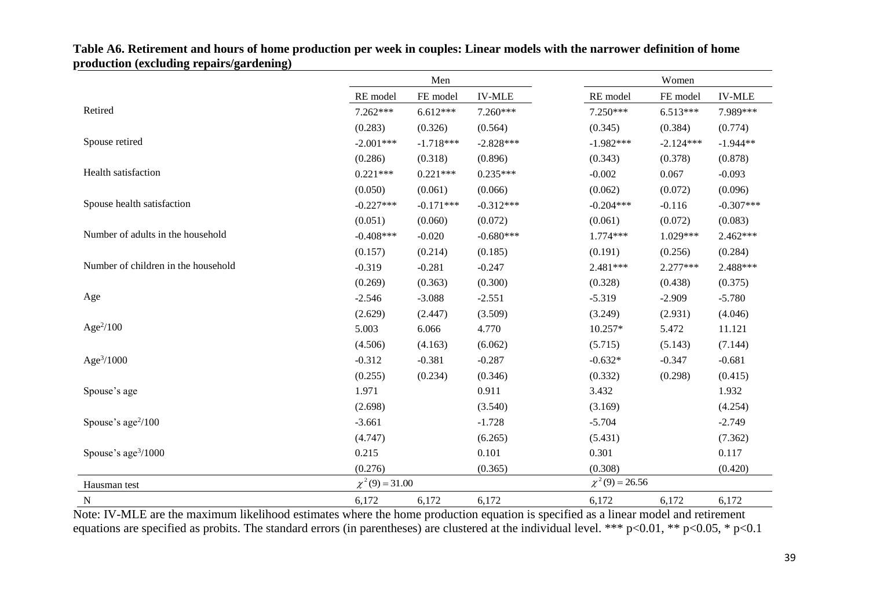|                                                                                                        | Men                 |                                        | Women                                                                                |                       |                                                                |               |
|--------------------------------------------------------------------------------------------------------|---------------------|----------------------------------------|--------------------------------------------------------------------------------------|-----------------------|----------------------------------------------------------------|---------------|
|                                                                                                        | RE model            | FE model                               | <b>IV-MLE</b>                                                                        | RE model              | FE model                                                       | <b>IV-MLE</b> |
| Retired                                                                                                | 7.262***            | $6.612***$                             | 7.260***                                                                             | 7.250***              | $6.513***$                                                     | 7.989***      |
|                                                                                                        | (0.283)             | (0.326)                                | (0.564)                                                                              | (0.345)               | (0.384)                                                        | (0.774)       |
| Spouse retired                                                                                         | $-2.001***$         | $-1.718***$                            | $-2.828***$                                                                          | $-1.982***$           | $-2.124***$                                                    | $-1.944**$    |
|                                                                                                        | (0.286)             | (0.318)                                | (0.896)                                                                              | (0.343)               | (0.378)                                                        | (0.878)       |
| Health satisfaction                                                                                    | $0.221***$          | $0.221***$                             | $0.235***$                                                                           | $-0.002$              | 0.067                                                          | $-0.093$      |
|                                                                                                        | (0.050)             | (0.061)                                | (0.066)                                                                              | (0.062)               | (0.072)                                                        | (0.096)       |
| Spouse health satisfaction                                                                             | $-0.227***$         | $-0.171***$                            | $-0.312***$                                                                          | $-0.204***$           | $-0.116$                                                       | $-0.307***$   |
|                                                                                                        | (0.051)             | (0.060)                                | (0.072)                                                                              | (0.061)               | (0.072)                                                        | (0.083)       |
| Number of adults in the household                                                                      | $-0.408***$         | $-0.020$                               | $-0.680***$                                                                          | 1.774***              | $1.029***$                                                     | $2.462***$    |
|                                                                                                        | (0.157)             | (0.214)                                | (0.185)                                                                              | (0.191)               | (0.256)                                                        | (0.284)       |
| Number of children in the household                                                                    | $-0.319$            | $-0.281$                               | $-0.247$                                                                             | $2.481***$            | $2.277***$                                                     | 2.488***      |
|                                                                                                        | (0.269)             | (0.363)                                | (0.300)                                                                              | (0.328)               | (0.438)                                                        | (0.375)       |
| Age                                                                                                    | $-2.546$            | $-3.088$                               | $-2.551$                                                                             | $-5.319$              | $-2.909$                                                       | $-5.780$      |
|                                                                                                        | (2.629)             | (2.447)                                | (3.509)                                                                              | (3.249)               | (2.931)                                                        | (4.046)       |
| Age $\frac{2}{100}$                                                                                    | 5.003               | 6.066                                  | 4.770                                                                                | 10.257*               | 5.472                                                          | 11.121        |
|                                                                                                        | (4.506)             | (4.163)                                | (6.062)                                                                              | (5.715)               | (5.143)                                                        | (7.144)       |
| Age <sup>3</sup> /1000                                                                                 | $-0.312$            | $-0.381$                               | $-0.287$                                                                             | $-0.632*$             | $-0.347$                                                       | $-0.681$      |
|                                                                                                        | (0.255)             | (0.234)                                | (0.346)                                                                              | (0.332)               | (0.298)                                                        | (0.415)       |
| Spouse's age                                                                                           | 1.971               |                                        | 0.911                                                                                | 3.432                 |                                                                | 1.932         |
|                                                                                                        | (2.698)             |                                        | (3.540)                                                                              | (3.169)               |                                                                | (4.254)       |
| Spouse's age $2/100$                                                                                   | $-3.661$            |                                        | $-1.728$                                                                             | $-5.704$              |                                                                | $-2.749$      |
|                                                                                                        | (4.747)             |                                        | (6.265)                                                                              | (5.431)               |                                                                | (7.362)       |
| Spouse's age $\frac{3}{1000}$                                                                          | 0.215               |                                        | 0.101                                                                                | 0.301                 |                                                                | 0.117         |
|                                                                                                        | (0.276)             |                                        | (0.365)                                                                              | (0.308)               |                                                                | (0.420)       |
| Hausman test                                                                                           | $\chi^2(9) = 31.00$ |                                        |                                                                                      | $\chi^2(9) = 26.56$   |                                                                |               |
| $\mathbf N$<br>$\mathbf{M}$ $\mathbf{M}$<br>$111 - 111$<br>$\overline{1}$<br>$\mathbf{1}$ $\mathbf{1}$ | 6,172<br>$-1$ $-1$  | 6,172<br>$\mathbf{1}$ and $\mathbf{1}$ | 6,172<br>$\cdot$ $\sim$ $\cdot$ $\cdot$ $\cdot$<br>and the state of the state of the | 6,172<br>$\mathbf{1}$ | 6,172<br>$\mathbf{r} = \mathbf{r} + \mathbf{r}$<br>$1 \quad 1$ | 6,172         |

**Table A6. Retirement and hours of home production per week in couples: Linear models with the narrower definition of home production (excluding repairs/gardening)**

Note: IV-MLE are the maximum likelihood estimates where the home production equation is specified as a linear model and retirement equations are specified as probits. The standard errors (in parentheses) are clustered at the individual level. \*\*\* p<0.01, \*\* p<0.05, \* p<0.1